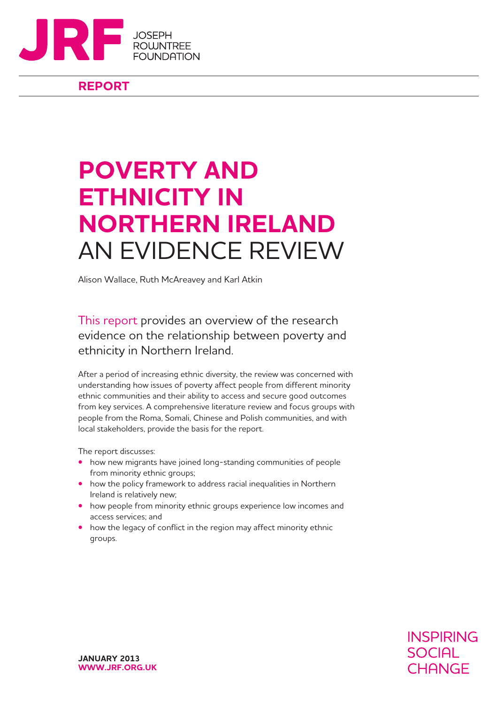

**REPORT**

# **POVERTY AND ETHNICITY IN NORTHERN IRELAND** AN EVIDENCE REVIEW

Alison Wallace, Ruth McAreavey and Karl Atkin

This report provides an overview of the research evidence on the relationship between poverty and ethnicity in Northern Ireland.

After a period of increasing ethnic diversity, the review was concerned with understanding how issues of poverty affect people from different minority ethnic communities and their ability to access and secure good outcomes from key services. A comprehensive literature review and focus groups with people from the Roma, Somali, Chinese and Polish communities, and with local stakeholders, provide the basis for the report.

The report discusses:

- how new migrants have joined long-standing communities of people from minority ethnic groups;
- how the policy framework to address racial inequalities in Northern Ireland is relatively new;
- how people from minority ethnic groups experience low incomes and access services; and
- how the legacy of conflict in the region may affect minority ethnic groups.

**INSPIRING SOCIAL** CHANGE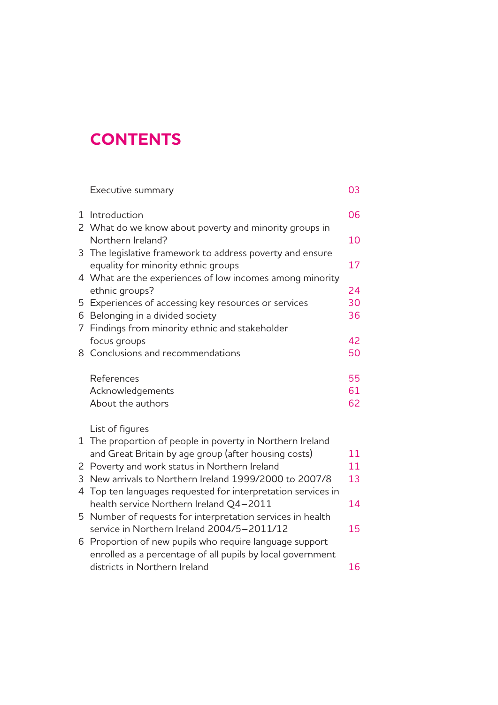## **CONTENTS**

|   | Executive summary                                            | 03 |
|---|--------------------------------------------------------------|----|
|   | 1 Introduction                                               | 06 |
|   | 2 What do we know about poverty and minority groups in       |    |
|   | Northern Ireland?                                            | 10 |
| 3 | The legislative framework to address poverty and ensure      |    |
|   | equality for minority ethnic groups                          | 17 |
|   | 4 What are the experiences of low incomes among minority     |    |
|   | ethnic groups?                                               | 24 |
| 5 | Experiences of accessing key resources or services           | 30 |
|   | 6 Belonging in a divided society                             | 36 |
| 7 | Findings from minority ethnic and stakeholder                |    |
|   | focus groups                                                 | 42 |
|   | 8 Conclusions and recommendations                            | 50 |
|   | References                                                   | 55 |
|   | Acknowledgements                                             | 61 |
|   | About the authors                                            | 62 |
|   | List of figures                                              |    |
| 1 | The proportion of people in poverty in Northern Ireland      |    |
|   | and Great Britain by age group (after housing costs)         | 11 |
| 2 | Poverty and work status in Northern Ireland                  | 11 |
| 3 | New arrivals to Northern Ireland 1999/2000 to 2007/8         | 13 |
|   | 4 Top ten languages requested for interpretation services in |    |
|   | health service Northern Ireland Q4-2011                      | 14 |
|   | 5 Number of requests for interpretation services in health   |    |
|   | service in Northern Ireland 2004/5-2011/12                   | 15 |
| 6 | Proportion of new pupils who require language support        |    |
|   | enrolled as a percentage of all pupils by local government   |    |
|   | districts in Northern Ireland                                | 16 |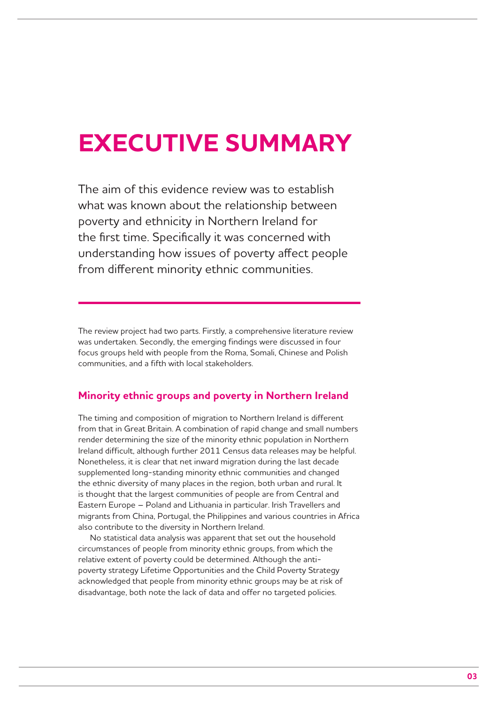# **EXECUTIVE SUMMARY**

The aim of this evidence review was to establish what was known about the relationship between poverty and ethnicity in Northern Ireland for the first time. Specifically it was concerned with understanding how issues of poverty affect people from different minority ethnic communities.

The review project had two parts. Firstly, a comprehensive literature review was undertaken. Secondly, the emerging findings were discussed in four focus groups held with people from the Roma, Somali, Chinese and Polish communities, and a fifth with local stakeholders.

## **Minority ethnic groups and poverty in Northern Ireland**

The timing and composition of migration to Northern Ireland is different from that in Great Britain. A combination of rapid change and small numbers render determining the size of the minority ethnic population in Northern Ireland difficult, although further 2011 Census data releases may be helpful. Nonetheless, it is clear that net inward migration during the last decade supplemented long-standing minority ethnic communities and changed the ethnic diversity of many places in the region, both urban and rural. It is thought that the largest communities of people are from Central and Eastern Europe – Poland and Lithuania in particular. Irish Travellers and migrants from China, Portugal, the Philippines and various countries in Africa also contribute to the diversity in Northern Ireland.

No statistical data analysis was apparent that set out the household circumstances of people from minority ethnic groups, from which the relative extent of poverty could be determined. Although the antipoverty strategy Lifetime Opportunities and the Child Poverty Strategy acknowledged that people from minority ethnic groups may be at risk of disadvantage, both note the lack of data and offer no targeted policies.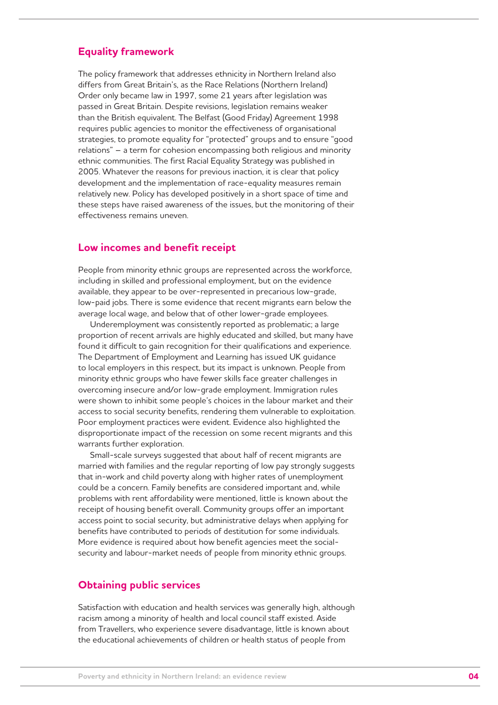## **Equality framework**

The policy framework that addresses ethnicity in Northern Ireland also differs from Great Britain's, as the Race Relations (Northern Ireland) Order only became law in 1997, some 21 years after legislation was passed in Great Britain. Despite revisions, legislation remains weaker than the British equivalent. The Belfast (Good Friday) Agreement 1998 requires public agencies to monitor the effectiveness of organisational strategies, to promote equality for "protected" groups and to ensure "good relations" – a term for cohesion encompassing both religious and minority ethnic communities. The first Racial Equality Strategy was published in 2005. Whatever the reasons for previous inaction, it is clear that policy development and the implementation of race-equality measures remain relatively new. Policy has developed positively in a short space of time and these steps have raised awareness of the issues, but the monitoring of their effectiveness remains uneven.

### **Low incomes and benefit receipt**

People from minority ethnic groups are represented across the workforce, including in skilled and professional employment, but on the evidence available, they appear to be over-represented in precarious low-grade, low-paid jobs. There is some evidence that recent migrants earn below the average local wage, and below that of other lower-grade employees.

Underemployment was consistently reported as problematic; a large proportion of recent arrivals are highly educated and skilled, but many have found it difficult to gain recognition for their qualifications and experience. The Department of Employment and Learning has issued UK guidance to local employers in this respect, but its impact is unknown. People from minority ethnic groups who have fewer skills face greater challenges in overcoming insecure and/or low-grade employment. Immigration rules were shown to inhibit some people's choices in the labour market and their access to social security benefits, rendering them vulnerable to exploitation. Poor employment practices were evident. Evidence also highlighted the disproportionate impact of the recession on some recent migrants and this warrants further exploration.

Small-scale surveys suggested that about half of recent migrants are married with families and the regular reporting of low pay strongly suggests that in-work and child poverty along with higher rates of unemployment could be a concern. Family benefits are considered important and, while problems with rent affordability were mentioned, little is known about the receipt of housing benefit overall. Community groups offer an important access point to social security, but administrative delays when applying for benefits have contributed to periods of destitution for some individuals. More evidence is required about how benefit agencies meet the socialsecurity and labour-market needs of people from minority ethnic groups.

### **Obtaining public services**

Satisfaction with education and health services was generally high, although racism among a minority of health and local council staff existed. Aside from Travellers, who experience severe disadvantage, little is known about the educational achievements of children or health status of people from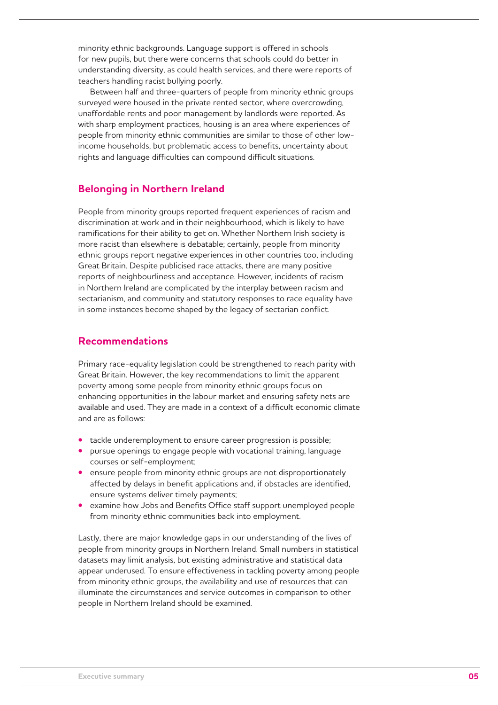minority ethnic backgrounds. Language support is offered in schools for new pupils, but there were concerns that schools could do better in understanding diversity, as could health services, and there were reports of teachers handling racist bullying poorly.

Between half and three-quarters of people from minority ethnic groups surveyed were housed in the private rented sector, where overcrowding, unaffordable rents and poor management by landlords were reported. As with sharp employment practices, housing is an area where experiences of people from minority ethnic communities are similar to those of other lowincome households, but problematic access to benefits, uncertainty about rights and language difficulties can compound difficult situations.

## **Belonging in Northern Ireland**

People from minority groups reported frequent experiences of racism and discrimination at work and in their neighbourhood, which is likely to have ramifications for their ability to get on. Whether Northern Irish society is more racist than elsewhere is debatable; certainly, people from minority ethnic groups report negative experiences in other countries too, including Great Britain. Despite publicised race attacks, there are many positive reports of neighbourliness and acceptance. However, incidents of racism in Northern Ireland are complicated by the interplay between racism and sectarianism, and community and statutory responses to race equality have in some instances become shaped by the legacy of sectarian conflict.

## **Recommendations**

Primary race-equality legislation could be strengthened to reach parity with Great Britain. However, the key recommendations to limit the apparent poverty among some people from minority ethnic groups focus on enhancing opportunities in the labour market and ensuring safety nets are available and used. They are made in a context of a difficult economic climate and are as follows:

- tackle underemployment to ensure career progression is possible;
- pursue openings to engage people with vocational training, language courses or self-employment;
- **•** ensure people from minority ethnic groups are not disproportionately affected by delays in benefit applications and, if obstacles are identified, ensure systems deliver timely payments;
- examine how Jobs and Benefits Office staff support unemployed people from minority ethnic communities back into employment.

Lastly, there are major knowledge gaps in our understanding of the lives of people from minority groups in Northern Ireland. Small numbers in statistical datasets may limit analysis, but existing administrative and statistical data appear underused. To ensure effectiveness in tackling poverty among people from minority ethnic groups, the availability and use of resources that can illuminate the circumstances and service outcomes in comparison to other people in Northern Ireland should be examined.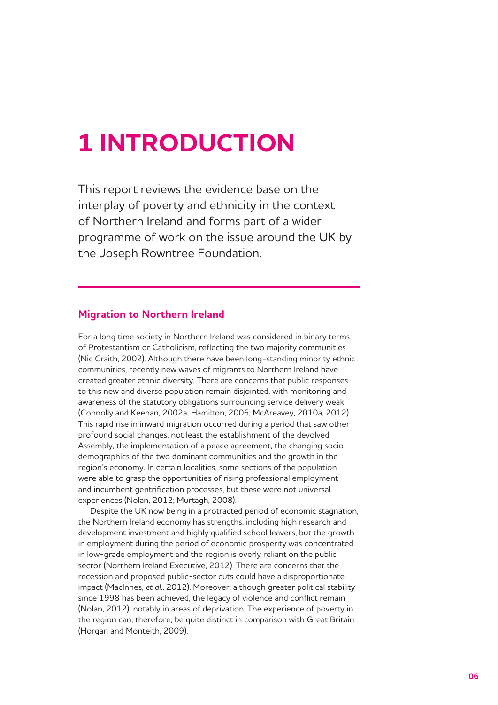## **1 INTRODUCTION**

This report reviews the evidence base on the interplay of poverty and ethnicity in the context of Northern Ireland and forms part of a wider programme of work on the issue around the UK by the Joseph Rowntree Foundation.

## **Migration to Northern Ireland**

For a long time society in Northern Ireland was considered in binary terms of Protestantism or Catholicism, reflecting the two majority communities (Nic Craith, 2002). Although there have been long-standing minority ethnic communities, recently new waves of migrants to Northern Ireland have created greater ethnic diversity. There are concerns that public responses to this new and diverse population remain disjointed, with monitoring and awareness of the statutory obligations surrounding service delivery weak (Connolly and Keenan, 2002a; Hamilton, 2006; McAreavey, 2010a, 2012). This rapid rise in inward migration occurred during a period that saw other profound social changes, not least the establishment of the devolved Assembly, the implementation of a peace agreement, the changing sociodemographics of the two dominant communities and the growth in the region's economy. In certain localities, some sections of the population were able to grasp the opportunities of rising professional employment and incumbent gentrification processes, but these were not universal experiences (Nolan, 2012; Murtagh, 2008).

Despite the UK now being in a protracted period of economic stagnation, the Northern Ireland economy has strengths, including high research and development investment and highly qualified school leavers, but the growth in employment during the period of economic prosperity was concentrated in low-grade employment and the region is overly reliant on the public sector (Northern Ireland Executive, 2012). There are concerns that the recession and proposed public-sector cuts could have a disproportionate impact (MacInnes, *et al*., 2012). Moreover, although greater political stability since 1998 has been achieved, the legacy of violence and conflict remain (Nolan, 2012), notably in areas of deprivation. The experience of poverty in the region can, therefore, be quite distinct in comparison with Great Britain (Horgan and Monteith, 2009).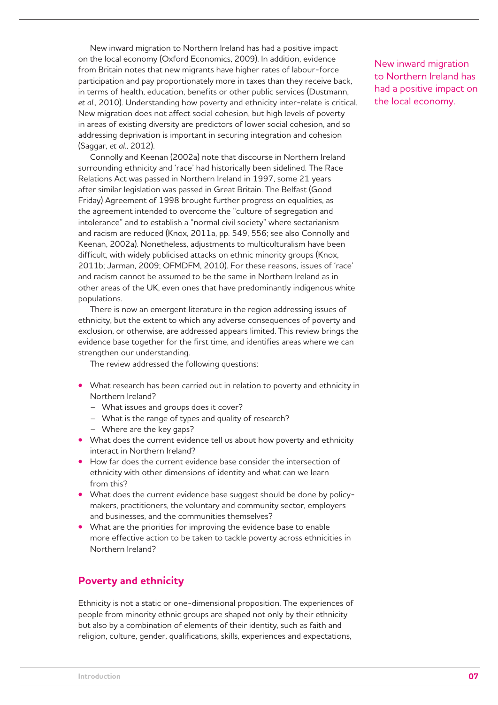New inward migration to Northern Ireland has had a positive impact on the local economy (Oxford Economics, 2009). In addition, evidence from Britain notes that new migrants have higher rates of labour-force participation and pay proportionately more in taxes than they receive back, in terms of health, education, benefits or other public services (Dustmann, *et al*., 2010). Understanding how poverty and ethnicity inter-relate is critical. New migration does not affect social cohesion, but high levels of poverty in areas of existing diversity are predictors of lower social cohesion, and so addressing deprivation is important in securing integration and cohesion (Saggar, *et al*., 2012).

Connolly and Keenan (2002a) note that discourse in Northern Ireland surrounding ethnicity and 'race' had historically been sidelined. The Race Relations Act was passed in Northern Ireland in 1997, some 21 years after similar legislation was passed in Great Britain. The Belfast (Good Friday) Agreement of 1998 brought further progress on equalities, as the agreement intended to overcome the "culture of segregation and intolerance" and to establish a "normal civil society" where sectarianism and racism are reduced (Knox, 2011a, pp. 549, 556; see also Connolly and Keenan, 2002a). Nonetheless, adjustments to multiculturalism have been difficult, with widely publicised attacks on ethnic minority groups (Knox, 2011b; Jarman, 2009; OFMDFM, 2010). For these reasons, issues of 'race' and racism cannot be assumed to be the same in Northern Ireland as in other areas of the UK, even ones that have predominantly indigenous white populations.

There is now an emergent literature in the region addressing issues of ethnicity, but the extent to which any adverse consequences of poverty and exclusion, or otherwise, are addressed appears limited. This review brings the evidence base together for the first time, and identifies areas where we can strengthen our understanding.

The review addressed the following questions:

- **•** What research has been carried out in relation to poverty and ethnicity in Northern Ireland?
	- What issues and groups does it cover?
	- What is the range of types and quality of research?
	- Where are the key gaps?
- What does the current evidence tell us about how poverty and ethnicity interact in Northern Ireland?
- **•**  How far does the current evidence base consider the intersection of ethnicity with other dimensions of identity and what can we learn from this?
- What does the current evidence base suggest should be done by policymakers, practitioners, the voluntary and community sector, employers and businesses, and the communities themselves?
- What are the priorities for improving the evidence base to enable more effective action to be taken to tackle poverty across ethnicities in Northern Ireland?

## **Poverty and ethnicity**

Ethnicity is not a static or one-dimensional proposition. The experiences of people from minority ethnic groups are shaped not only by their ethnicity but also by a combination of elements of their identity, such as faith and religion, culture, gender, qualifications, skills, experiences and expectations,

New inward migration to Northern Ireland has had a positive impact on the local economy.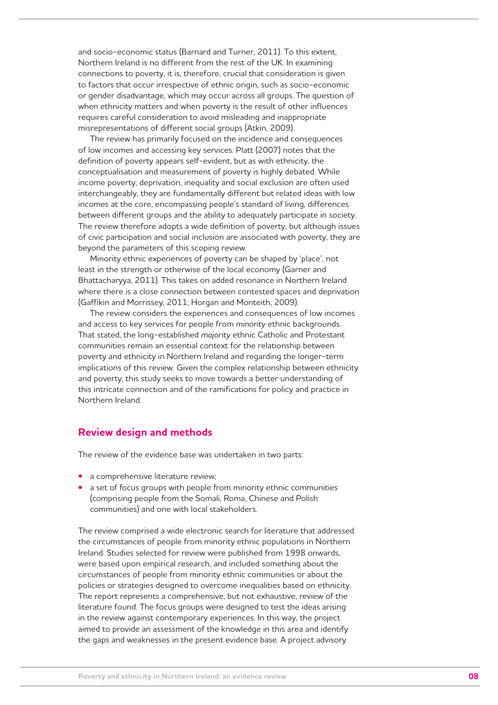and socio-economic status (Barnard and Turner, 2011). To this extent, Northern Ireland is no different from the rest of the UK. In examining connections to poverty, it is, therefore, crucial that consideration is given to factors that occur irrespective of ethnic origin, such as socio-economic or gender disadvantage, which may occur across all groups. The question of when ethnicity matters and when poverty is the result of other influences requires careful consideration to avoid misleading and inappropriate misrepresentations of different social groups (Atkin, 2009).

The review has primarily focused on the incidence and consequences of low incomes and accessing key services. Platt (2007) notes that the definition of poverty appears self-evident, but as with ethnicity, the conceptualisation and measurement of poverty is highly debated. While income poverty, deprivation, inequality and social exclusion are often used interchangeably, they are fundamentally different but related ideas with low incomes at the core, encompassing people's standard of living, differences between different groups and the ability to adequately participate in society. The review therefore adopts a wide definition of poverty, but although issues of civic participation and social inclusion are associated with poverty, they are beyond the parameters of this scoping review.

Minority ethnic experiences of poverty can be shaped by 'place', not least in the strength or otherwise of the local economy (Garner and Bhattacharyya, 2011). This takes on added resonance in Northern Ireland where there is a close connection between contested spaces and deprivation (Gaffikin and Morrissey, 2011; Horgan and Monteith, 2009).

The review considers the experiences and consequences of low incomes and access to key services for people from *minority* ethnic backgrounds. That stated, the long-established *majority* ethnic Catholic and Protestant communities remain an essential context for the relationship between poverty and ethnicity in Northern Ireland and regarding the longer-term implications of this review. Given the complex relationship between ethnicity and poverty, this study seeks to move towards a better understanding of this intricate connection and of the ramifications for policy and practice in Northern Ireland.

## **Review design and methods**

The review of the evidence base was undertaken in two parts:

- **•** a comprehensive literature review;
- a set of focus groups with people from minority ethnic communities (comprising people from the Somali, Roma, Chinese and Polish communities) and one with local stakeholders.

The review comprised a wide electronic search for literature that addressed the circumstances of people from minority ethnic populations in Northern Ireland. Studies selected for review were published from 1998 onwards, were based upon empirical research, and included something about the circumstances of people from minority ethnic communities or about the policies or strategies designed to overcome inequalities based on ethnicity. The report represents a comprehensive, but not exhaustive, review of the literature found. The focus groups were designed to test the ideas arising in the review against contemporary experiences. In this way, the project aimed to provide an assessment of the knowledge in this area and identify the gaps and weaknesses in the present evidence base. A project advisory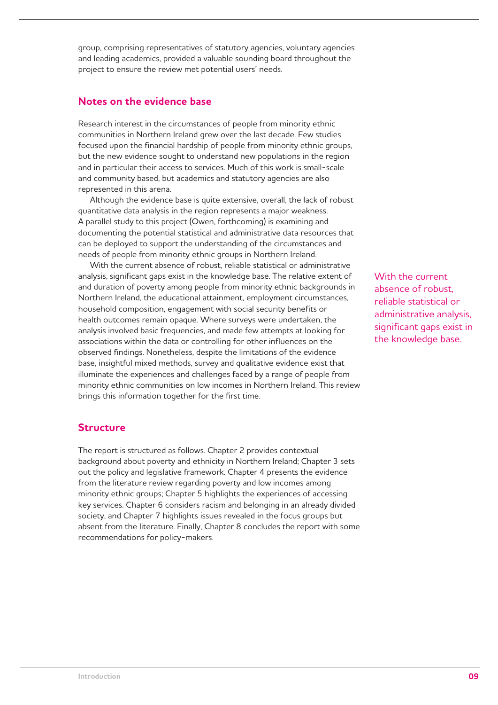group, comprising representatives of statutory agencies, voluntary agencies and leading academics, provided a valuable sounding board throughout the project to ensure the review met potential users' needs.

## **Notes on the evidence base**

Research interest in the circumstances of people from minority ethnic communities in Northern Ireland grew over the last decade. Few studies focused upon the financial hardship of people from minority ethnic groups, but the new evidence sought to understand new populations in the region and in particular their access to services. Much of this work is small-scale and community based, but academics and statutory agencies are also represented in this arena.

Although the evidence base is quite extensive, overall, the lack of robust quantitative data analysis in the region represents a major weakness. A parallel study to this project (Owen, forthcoming) is examining and documenting the potential statistical and administrative data resources that can be deployed to support the understanding of the circumstances and needs of people from minority ethnic groups in Northern Ireland.

With the current absence of robust, reliable statistical or administrative analysis, significant gaps exist in the knowledge base. The relative extent of and duration of poverty among people from minority ethnic backgrounds in Northern Ireland, the educational attainment, employment circumstances, household composition, engagement with social security benefits or health outcomes remain opaque. Where surveys were undertaken, the analysis involved basic frequencies, and made few attempts at looking for associations within the data or controlling for other influences on the observed findings. Nonetheless, despite the limitations of the evidence base, insightful mixed methods, survey and qualitative evidence exist that illuminate the experiences and challenges faced by a range of people from minority ethnic communities on low incomes in Northern Ireland. This review brings this information together for the first time.

## **Structure**

The report is structured as follows. Chapter 2 provides contextual background about poverty and ethnicity in Northern Ireland; Chapter 3 sets out the policy and legislative framework. Chapter 4 presents the evidence from the literature review regarding poverty and low incomes among minority ethnic groups; Chapter 5 highlights the experiences of accessing key services. Chapter 6 considers racism and belonging in an already divided society, and Chapter 7 highlights issues revealed in the focus groups but absent from the literature. Finally, Chapter 8 concludes the report with some recommendations for policy-makers.

With the current absence of robust, reliable statistical or administrative analysis, significant gaps exist in the knowledge base.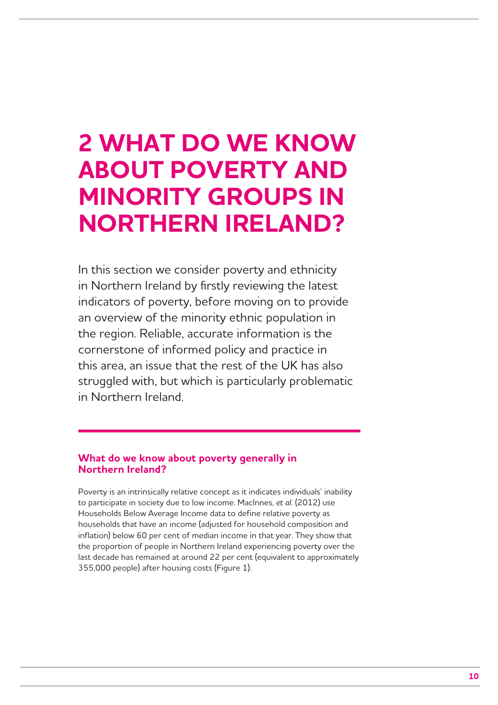## **2 WHAT DO WE KNOW ABOUT POVERTY AND MINORITY GROUPS IN NORTHERN IRELAND?**

In this section we consider poverty and ethnicity in Northern Ireland by firstly reviewing the latest indicators of poverty, before moving on to provide an overview of the minority ethnic population in the region. Reliable, accurate information is the cornerstone of informed policy and practice in this area, an issue that the rest of the UK has also struggled with, but which is particularly problematic in Northern Ireland.

## **What do we know about poverty generally in Northern Ireland?**

Poverty is an intrinsically relative concept as it indicates individuals' inability to participate in society due to low income. MacInnes, *et al*. (2012) use Households Below Average Income data to define relative poverty as households that have an income (adjusted for household composition and inflation) below 60 per cent of median income in that year. They show that the proportion of people in Northern Ireland experiencing poverty over the last decade has remained at around 22 per cent (equivalent to approximately 355,000 people) after housing costs (Figure 1).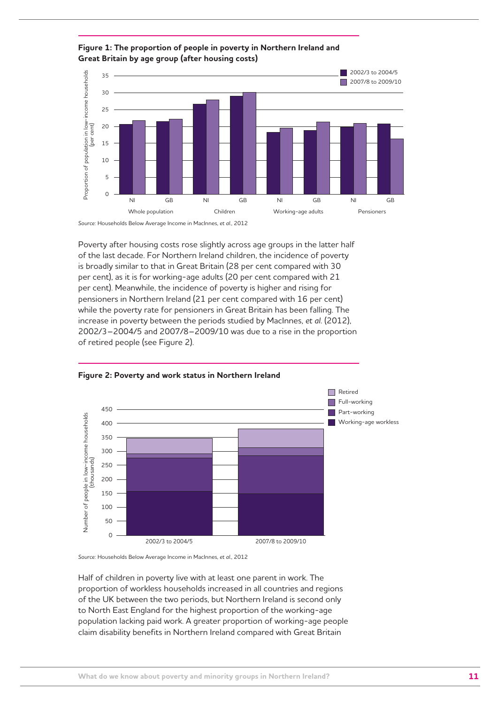



Source: Households Below Average Income, DWP *Source:* Households Below Average Income in MacInnes, *et al*., 2012

Poverty after housing costs rose slightly across age groups in the latter half of the last decade. For Northern Ireland children, the incidence of poverty is broadly similar to that in Great Britain (28 per cent compared with 30 per cent), as it is for working-age adults (20 per cent compared with 21 per cent). Meanwhile, the incidence of poverty is higher and rising for pensioners in Northern Ireland (21 per cent compared with 16 per cent) while the poverty rate for pensioners in Great Britain has been falling. The increase in poverty between the periods studied by MacInnes, *et al*. (2012), 2002/3–2004/5 and 2007/8–2009/10 was due to a rise in the proportion of retired people (see Figure 2).





Source: Households Below Average Income, DWP *Source:* Households Below Average Income in MacInnes, *et al*., 2012

Half of children in poverty live with at least one parent in work. The proportion of workless households increased in all countries and regions of the UK between the two periods, but Northern Ireland is second only to North East England for the highest proportion of the working-age population lacking paid work. A greater proportion of working-age people claim disability benefits in Northern Ireland compared with Great Britain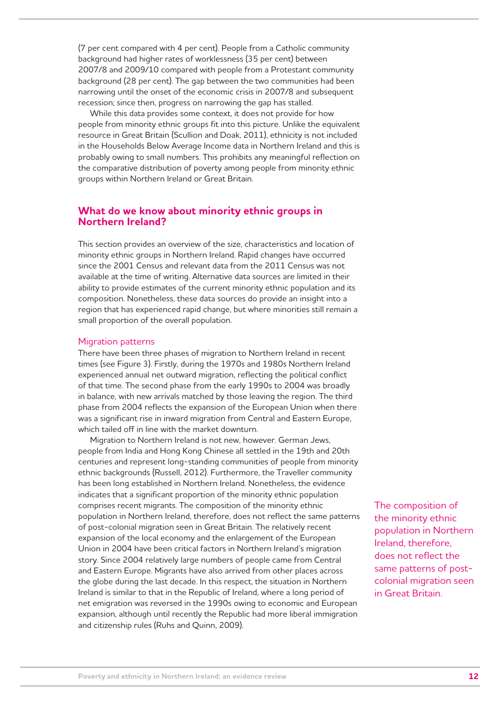(7 per cent compared with 4 per cent). People from a Catholic community background had higher rates of worklessness (35 per cent) between 2007/8 and 2009/10 compared with people from a Protestant community background (28 per cent). The gap between the two communities had been narrowing until the onset of the economic crisis in 2007/8 and subsequent recession; since then, progress on narrowing the gap has stalled.

While this data provides some context, it does not provide for how people from minority ethnic groups fit into this picture. Unlike the equivalent resource in Great Britain (Scullion and Doak, 2011), ethnicity is not included in the Households Below Average Income data in Northern Ireland and this is probably owing to small numbers. This prohibits any meaningful reflection on the comparative distribution of poverty among people from minority ethnic groups within Northern Ireland or Great Britain.

## **What do we know about minority ethnic groups in Northern Ireland?**

This section provides an overview of the size, characteristics and location of minority ethnic groups in Northern Ireland. Rapid changes have occurred since the 2001 Census and relevant data from the 2011 Census was not available at the time of writing. Alternative data sources are limited in their ability to provide estimates of the current minority ethnic population and its composition. Nonetheless, these data sources do provide an insight into a region that has experienced rapid change, but where minorities still remain a small proportion of the overall population.

#### Migration patterns

There have been three phases of migration to Northern Ireland in recent times (see Figure 3). Firstly, during the 1970s and 1980s Northern Ireland experienced annual net outward migration, reflecting the political conflict of that time. The second phase from the early 1990s to 2004 was broadly in balance, with new arrivals matched by those leaving the region. The third phase from 2004 reflects the expansion of the European Union when there was a significant rise in inward migration from Central and Eastern Europe, which tailed off in line with the market downturn.

Migration to Northern Ireland is not new, however. German Jews, people from India and Hong Kong Chinese all settled in the 19th and 20th centuries and represent long-standing communities of people from minority ethnic backgrounds (Russell, 2012). Furthermore, the Traveller community has been long established in Northern Ireland. Nonetheless, the evidence indicates that a significant proportion of the minority ethnic population comprises recent migrants. The composition of the minority ethnic population in Northern Ireland, therefore, does not reflect the same patterns of post-colonial migration seen in Great Britain. The relatively recent expansion of the local economy and the enlargement of the European Union in 2004 have been critical factors in Northern Ireland's migration story. Since 2004 relatively large numbers of people came from Central and Eastern Europe. Migrants have also arrived from other places across the globe during the last decade. In this respect, the situation in Northern Ireland is similar to that in the Republic of Ireland, where a long period of net emigration was reversed in the 1990s owing to economic and European expansion, although until recently the Republic had more liberal immigration and citizenship rules (Ruhs and Quinn, 2009).

The composition of the minority ethnic population in Northern Ireland, therefore, does not reflect the same patterns of postcolonial migration seen in Great Britain.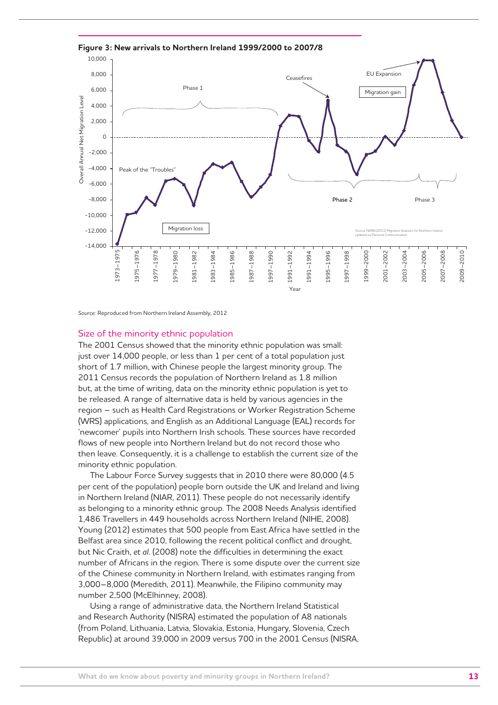

*Source:* Reproduced from Northern Ireland Assembly, 2012

#### Size of the minority ethnic population

The 2001 Census showed that the minority ethnic population was small: just over 14,000 people, or less than 1 per cent of a total population just short of 1.7 million, with Chinese people the largest minority group. The 2011 Census records the population of Northern Ireland as 1.8 million but, at the time of writing, data on the minority ethnic population is yet to be released. A range of alternative data is held by various agencies in the region – such as Health Card Registrations or Worker Registration Scheme (WRS) applications, and English as an Additional Language (EAL) records for 'newcomer' pupils into Northern Irish schools. These sources have recorded flows of new people into Northern Ireland but do not record those who then leave. Consequently, it is a challenge to establish the current size of the minority ethnic population.

The Labour Force Survey suggests that in 2010 there were 80,000 (4.5 per cent of the population) people born outside the UK and Ireland and living in Northern Ireland (NIAR, 2011). These people do not necessarily identify as belonging to a minority ethnic group. The 2008 Needs Analysis identified 1,486 Travellers in 449 households across Northern Ireland (NIHE, 2008). Young (2012) estimates that 500 people from East Africa have settled in the Belfast area since 2010, following the recent political conflict and drought, but Nic Craith, *et al*. (2008) note the difficulties in determining the exact number of Africans in the region. There is some dispute over the current size of the Chinese community in Northern Ireland, with estimates ranging from 3,000–8,000 (Meredith, 2011). Meanwhile, the Filipino community may number 2,500 (McElhinney, 2008).

Using a range of administrative data, the Northern Ireland Statistical and Research Authority (NISRA) estimated the population of A8 nationals (from Poland, Lithuania, Latvia, Slovakia, Estonia, Hungary, Slovenia, Czech Republic) at around 39,000 in 2009 versus 700 in the 2001 Census (NISRA,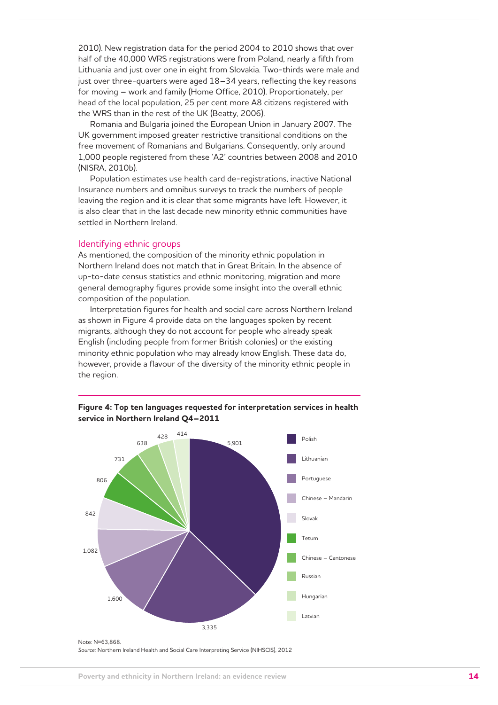2010). New registration data for the period 2004 to 2010 shows that over half of the 40,000 WRS registrations were from Poland, nearly a fifth from Lithuania and just over one in eight from Slovakia. Two-thirds were male and just over three-quarters were aged 18–34 years, reflecting the key reasons for moving – work and family (Home Office, 2010). Proportionately, per head of the local population, 25 per cent more A8 citizens registered with the WRS than in the rest of the UK (Beatty, 2006).

Romania and Bulgaria joined the European Union in January 2007. The UK government imposed greater restrictive transitional conditions on the free movement of Romanians and Bulgarians. Consequently, only around 1,000 people registered from these 'A2' countries between 2008 and 2010 (NISRA, 2010b).

Population estimates use health card de-registrations, inactive National Insurance numbers and omnibus surveys to track the numbers of people leaving the region and it is clear that some migrants have left. However, it is also clear that in the last decade new minority ethnic communities have settled in Northern Ireland.

#### Identifying ethnic groups

As mentioned, the composition of the minority ethnic population in Northern Ireland does not match that in Great Britain. In the absence of up-to-date census statistics and ethnic monitoring, migration and more general demography figures provide some insight into the overall ethnic composition of the population.

Interpretation figures for health and social care across Northern Ireland as shown in Figure 4 provide data on the languages spoken by recent migrants, although they do not account for people who already speak English (including people from former British colonies) or the existing minority ethnic population who may already know English. These data do, however, provide a flavour of the diversity of the minority ethnic people in the region.





Note: N=63,868. *Source:* Northern Ireland Health and Social Care Interpreting Service (NIHSCIS), 2012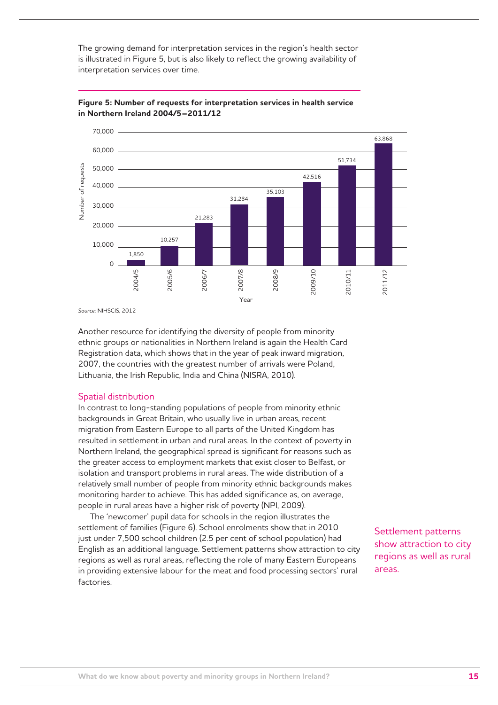The growing demand for interpretation services in the region's health sector is illustrated in Figure 5, but is also likely to reflect the growing availability of interpretation services over time.





*Source:* NIHSCIS, 2012

Another resource for identifying the diversity of people from minority ethnic groups or nationalities in Northern Ireland is again the Health Card Registration data, which shows that in the year of peak inward migration, 2007, the countries with the greatest number of arrivals were Poland, Lithuania, the Irish Republic, India and China (NISRA, 2010).

#### Spatial distribution

In contrast to long-standing populations of people from minority ethnic backgrounds in Great Britain, who usually live in urban areas, recent migration from Eastern Europe to all parts of the United Kingdom has resulted in settlement in urban and rural areas. In the context of poverty in Northern Ireland, the geographical spread is significant for reasons such as the greater access to employment markets that exist closer to Belfast, or isolation and transport problems in rural areas. The wide distribution of a relatively small number of people from minority ethnic backgrounds makes monitoring harder to achieve. This has added significance as, on average, people in rural areas have a higher risk of poverty (NPI, 2009).

The 'newcomer' pupil data for schools in the region illustrates the settlement of families (Figure 6). School enrolments show that in 2010 just under 7,500 school children (2.5 per cent of school population) had English as an additional language. Settlement patterns show attraction to city regions as well as rural areas, reflecting the role of many Eastern Europeans in providing extensive labour for the meat and food processing sectors' rural factories.

Settlement patterns show attraction to city regions as well as rural areas.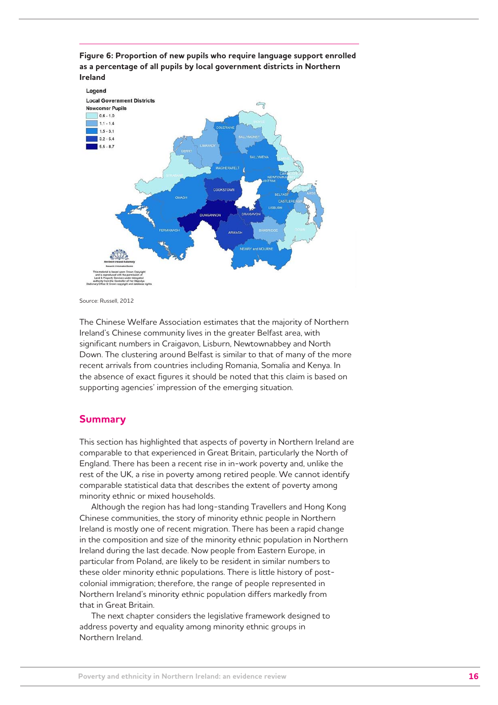

**Figure 6: Proportion of new pupils who require language support enrolled** 

Source: Russell, 2012

The Chinese Welfare Association estimates that the majority of Northern Ireland's Chinese community lives in the greater Belfast area, with significant numbers in Craigavon, Lisburn, Newtownabbey and North Down. The clustering around Belfast is similar to that of many of the more recent arrivals from countries including Romania, Somalia and Kenya. In the absence of exact figures it should be noted that this claim is based on supporting agencies' impression of the emerging situation.

### **Summary**

This section has highlighted that aspects of poverty in Northern Ireland are comparable to that experienced in Great Britain, particularly the North of England. There has been a recent rise in in-work poverty and, unlike the rest of the UK, a rise in poverty among retired people. We cannot identify comparable statistical data that describes the extent of poverty among minority ethnic or mixed households.

Although the region has had long-standing Travellers and Hong Kong Chinese communities, the story of minority ethnic people in Northern Ireland is mostly one of recent migration. There has been a rapid change in the composition and size of the minority ethnic population in Northern Ireland during the last decade. Now people from Eastern Europe, in particular from Poland, are likely to be resident in similar numbers to these older minority ethnic populations. There is little history of postcolonial immigration; therefore, the range of people represented in Northern Ireland's minority ethnic population differs markedly from that in Great Britain.

The next chapter considers the legislative framework designed to address poverty and equality among minority ethnic groups in Northern Ireland.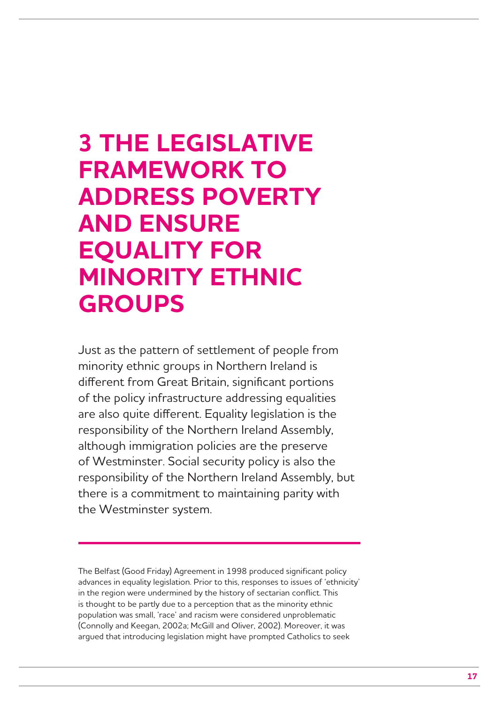## **3 THE LEGISLATIVE FRAMEWORK TO ADDRESS POVERTY AND ENSURE EQUALITY FOR MINORITY ETHNIC GROUPS**

Just as the pattern of settlement of people from minority ethnic groups in Northern Ireland is different from Great Britain, significant portions of the policy infrastructure addressing equalities are also quite different. Equality legislation is the responsibility of the Northern Ireland Assembly, although immigration policies are the preserve of Westminster. Social security policy is also the responsibility of the Northern Ireland Assembly, but there is a commitment to maintaining parity with the Westminster system.

The Belfast (Good Friday) Agreement in 1998 produced significant policy advances in equality legislation. Prior to this, responses to issues of 'ethnicity' in the region were undermined by the history of sectarian conflict. This is thought to be partly due to a perception that as the minority ethnic population was small, 'race' and racism were considered unproblematic (Connolly and Keegan, 2002a; McGill and Oliver, 2002). Moreover, it was argued that introducing legislation might have prompted Catholics to seek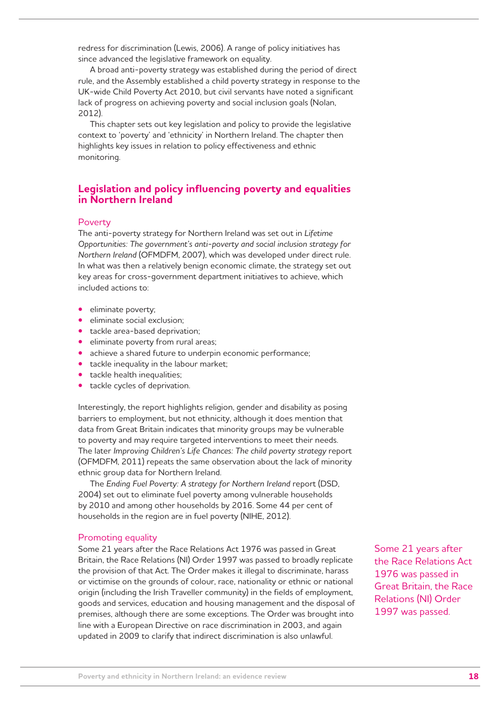redress for discrimination (Lewis, 2006). A range of policy initiatives has since advanced the legislative framework on equality.

A broad anti-poverty strategy was established during the period of direct rule, and the Assembly established a child poverty strategy in response to the UK-wide Child Poverty Act 2010, but civil servants have noted a significant lack of progress on achieving poverty and social inclusion goals (Nolan, 2012).

This chapter sets out key legislation and policy to provide the legislative context to 'poverty' and 'ethnicity' in Northern Ireland. The chapter then highlights key issues in relation to policy effectiveness and ethnic monitoring.

## **Legislation and policy influencing poverty and equalities in Northern Ireland**

#### Poverty

The anti-poverty strategy for Northern Ireland was set out in *Lifetime Opportunities: The government's anti-poverty and social inclusion strategy for Northern Ireland* (OFMDFM, 2007), which was developed under direct rule. In what was then a relatively benign economic climate, the strategy set out key areas for cross-government department initiatives to achieve, which included actions to:

- **•**  eliminate poverty;
- **•**  eliminate social exclusion;
- tackle area-based deprivation;
- **•**  eliminate poverty from rural areas;
- achieve a shared future to underpin economic performance;
- tackle inequality in the labour market;
- tackle health inequalities;
- **•**  tackle cycles of deprivation.

Interestingly, the report highlights religion, gender and disability as posing barriers to employment, but not ethnicity, although it does mention that data from Great Britain indicates that minority groups may be vulnerable to poverty and may require targeted interventions to meet their needs. The later *Improving Children's Life Chances: The child poverty strategy* report (OFMDFM, 2011) repeats the same observation about the lack of minority ethnic group data for Northern Ireland.

The *Ending Fuel Poverty: A strategy for Northern Ireland* report (DSD, 2004) set out to eliminate fuel poverty among vulnerable households by 2010 and among other households by 2016. Some 44 per cent of households in the region are in fuel poverty (NIHE, 2012).

#### Promoting equality

Some 21 years after the Race Relations Act 1976 was passed in Great Britain, the Race Relations (NI) Order 1997 was passed to broadly replicate the provision of that Act. The Order makes it illegal to discriminate, harass or victimise on the grounds of colour, race, nationality or ethnic or national origin (including the Irish Traveller community) in the fields of employment, goods and services, education and housing management and the disposal of premises, although there are some exceptions. The Order was brought into line with a European Directive on race discrimination in 2003, and again updated in 2009 to clarify that indirect discrimination is also unlawful.

Some 21 years after the Race Relations Act 1976 was passed in Great Britain, the Race Relations (NI) Order 1997 was passed.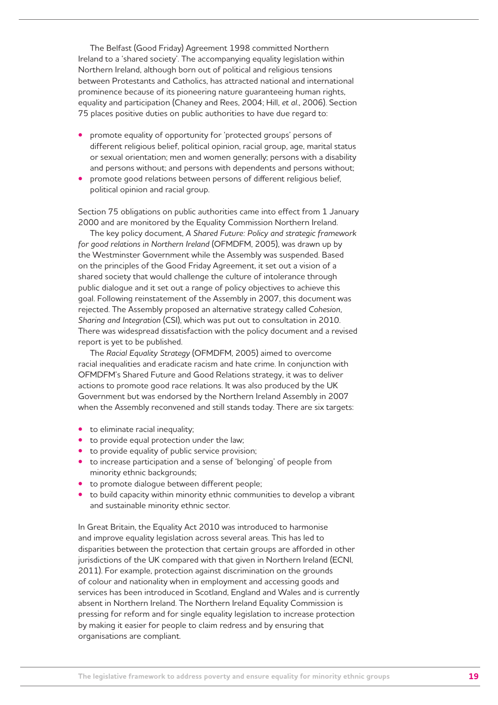The Belfast (Good Friday) Agreement 1998 committed Northern Ireland to a 'shared society'. The accompanying equality legislation within Northern Ireland, although born out of political and religious tensions between Protestants and Catholics, has attracted national and international prominence because of its pioneering nature guaranteeing human rights, equality and participation (Chaney and Rees, 2004; Hill, *et al*., 2006). Section 75 places positive duties on public authorities to have due regard to:

- promote equality of opportunity for 'protected groups' persons of different religious belief, political opinion, racial group, age, marital status or sexual orientation; men and women generally; persons with a disability and persons without; and persons with dependents and persons without;
- promote good relations between persons of different religious belief, political opinion and racial group.

Section 75 obligations on public authorities came into effect from 1 January 2000 and are monitored by the Equality Commission Northern Ireland.

The key policy document, *A Shared Future: Policy and strategic framework for good relations in Northern Ireland* (OFMDFM, 2005), was drawn up by the Westminster Government while the Assembly was suspended. Based on the principles of the Good Friday Agreement, it set out a vision of a shared society that would challenge the culture of intolerance through public dialogue and it set out a range of policy objectives to achieve this goal. Following reinstatement of the Assembly in 2007, this document was rejected. The Assembly proposed an alternative strategy called *Cohesion, Sharing and Integration* (CSI), which was put out to consultation in 2010. There was widespread dissatisfaction with the policy document and a revised report is yet to be published.

The *Racial Equality Strategy* (OFMDFM, 2005) aimed to overcome racial inequalities and eradicate racism and hate crime. In conjunction with OFMDFM's Shared Future and Good Relations strategy, it was to deliver actions to promote good race relations. It was also produced by the UK Government but was endorsed by the Northern Ireland Assembly in 2007 when the Assembly reconvened and still stands today. There are six targets:

- to eliminate racial inequality;
- **•**  to provide equal protection under the law;
- **•** to provide equality of public service provision;
- **•**  to increase participation and a sense of 'belonging' of people from minority ethnic backgrounds;
- to promote dialogue between different people;
- to build capacity within minority ethnic communities to develop a vibrant and sustainable minority ethnic sector.

In Great Britain, the Equality Act 2010 was introduced to harmonise and improve equality legislation across several areas. This has led to disparities between the protection that certain groups are afforded in other jurisdictions of the UK compared with that given in Northern Ireland (ECNI, 2011). For example, protection against discrimination on the grounds of colour and nationality when in employment and accessing goods and services has been introduced in Scotland, England and Wales and is currently absent in Northern Ireland. The Northern Ireland Equality Commission is pressing for reform and for single equality legislation to increase protection by making it easier for people to claim redress and by ensuring that organisations are compliant.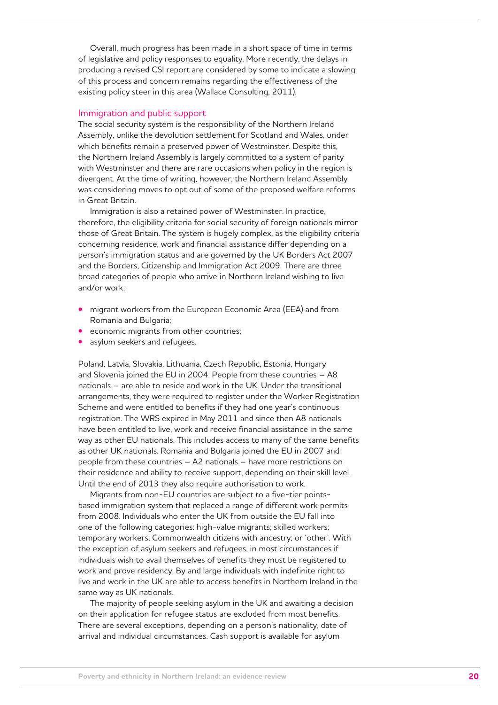Overall, much progress has been made in a short space of time in terms of legislative and policy responses to equality. More recently, the delays in producing a revised CSI report are considered by some to indicate a slowing of this process and concern remains regarding the effectiveness of the existing policy steer in this area (Wallace Consulting, 2011).

#### Immigration and public support

The social security system is the responsibility of the Northern Ireland Assembly, unlike the devolution settlement for Scotland and Wales, under which benefits remain a preserved power of Westminster. Despite this, the Northern Ireland Assembly is largely committed to a system of parity with Westminster and there are rare occasions when policy in the region is divergent. At the time of writing, however, the Northern Ireland Assembly was considering moves to opt out of some of the proposed welfare reforms in Great Britain.

Immigration is also a retained power of Westminster. In practice, therefore, the eligibility criteria for social security of foreign nationals mirror those of Great Britain. The system is hugely complex, as the eligibility criteria concerning residence, work and financial assistance differ depending on a person's immigration status and are governed by the UK Borders Act 2007 and the Borders, Citizenship and Immigration Act 2009. There are three broad categories of people who arrive in Northern Ireland wishing to live and/or work:

- **migrant workers from the European Economic Area (EEA) and from** Romania and Bulgaria;
- economic migrants from other countries;
- asylum seekers and refugees.

Poland, Latvia, Slovakia, Lithuania, Czech Republic, Estonia, Hungary and Slovenia joined the EU in 2004. People from these countries – A8 nationals – are able to reside and work in the UK. Under the transitional arrangements, they were required to register under the Worker Registration Scheme and were entitled to benefits if they had one year's continuous registration. The WRS expired in May 2011 and since then A8 nationals have been entitled to live, work and receive financial assistance in the same way as other EU nationals. This includes access to many of the same benefits as other UK nationals. Romania and Bulgaria joined the EU in 2007 and people from these countries – A2 nationals – have more restrictions on their residence and ability to receive support, depending on their skill level. Until the end of 2013 they also require authorisation to work.

Migrants from non-EU countries are subject to a five-tier pointsbased immigration system that replaced a range of different work permits from 2008. Individuals who enter the UK from outside the EU fall into one of the following categories: high-value migrants; skilled workers; temporary workers; Commonwealth citizens with ancestry; or 'other'. With the exception of asylum seekers and refugees, in most circumstances if individuals wish to avail themselves of benefits they must be registered to work and prove residency. By and large individuals with indefinite right to live and work in the UK are able to access benefits in Northern Ireland in the same way as UK nationals.

The majority of people seeking asylum in the UK and awaiting a decision on their application for refugee status are excluded from most benefits. There are several exceptions, depending on a person's nationality, date of arrival and individual circumstances. Cash support is available for asylum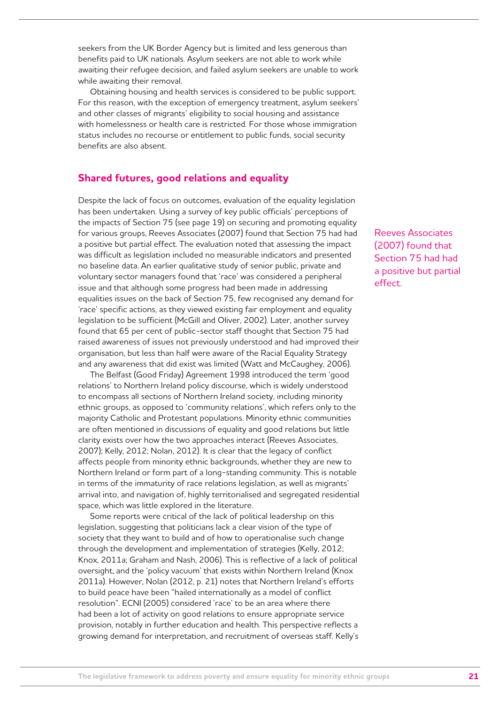seekers from the UK Border Agency but is limited and less generous than benefits paid to UK nationals. Asylum seekers are not able to work while awaiting their refugee decision, and failed asylum seekers are unable to work while awaiting their removal.

Obtaining housing and health services is considered to be public support. For this reason, with the exception of emergency treatment, asylum seekers' and other classes of migrants' eligibility to social housing and assistance with homelessness or health care is restricted. For those whose immigration status includes no recourse or entitlement to public funds, social security benefits are also absent.

## **Shared futures, good relations and equality**

Despite the lack of focus on outcomes, evaluation of the equality legislation has been undertaken. Using a survey of key public officials' perceptions of the impacts of Section 75 (see page 19) on securing and promoting equality for various groups, Reeves Associates (2007) found that Section 75 had had a positive but partial effect. The evaluation noted that assessing the impact was difficult as legislation included no measurable indicators and presented no baseline data. An earlier qualitative study of senior public, private and voluntary sector managers found that 'race' was considered a peripheral issue and that although some progress had been made in addressing equalities issues on the back of Section 75, few recognised any demand for 'race' specific actions, as they viewed existing fair employment and equality legislation to be sufficient (McGill and Oliver, 2002). Later, another survey found that 65 per cent of public-sector staff thought that Section 75 had raised awareness of issues not previously understood and had improved their organisation, but less than half were aware of the Racial Equality Strategy and any awareness that did exist was limited (Watt and McCaughey, 2006).

The Belfast (Good Friday) Agreement 1998 introduced the term 'good relations' to Northern Ireland policy discourse, which is widely understood to encompass all sections of Northern Ireland society, including minority ethnic groups, as opposed to 'community relations', which refers only to the majority Catholic and Protestant populations. Minority ethnic communities are often mentioned in discussions of equality and good relations but little clarity exists over how the two approaches interact (Reeves Associates, 2007); Kelly, 2012; Nolan, 2012). It is clear that the legacy of conflict affects people from minority ethnic backgrounds, whether they are new to Northern Ireland or form part of a long-standing community. This is notable in terms of the immaturity of race relations legislation, as well as migrants' arrival into, and navigation of, highly territorialised and segregated residential space, which was little explored in the literature.

Some reports were critical of the lack of political leadership on this legislation, suggesting that politicians lack a clear vision of the type of society that they want to build and of how to operationalise such change through the development and implementation of strategies (Kelly, 2012; Knox, 2011a; Graham and Nash, 2006). This is reflective of a lack of political oversight, and the 'policy vacuum' that exists within Northern Ireland (Knox 2011a). However, Nolan (2012, p. 21) notes that Northern Ireland's efforts to build peace have been "hailed internationally as a model of conflict resolution". ECNI (2005) considered 'race' to be an area where there had been a lot of activity on good relations to ensure appropriate service provision, notably in further education and health. This perspective reflects a growing demand for interpretation, and recruitment of overseas staff. Kelly's

Reeves Associates (2007) found that Section 75 had had a positive but partial effect.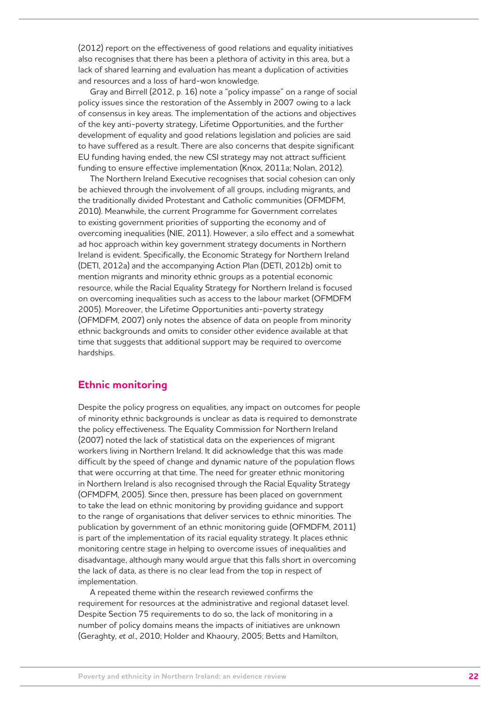(2012) report on the effectiveness of good relations and equality initiatives also recognises that there has been a plethora of activity in this area, but a lack of shared learning and evaluation has meant a duplication of activities and resources and a loss of hard-won knowledge.

Gray and Birrell (2012, p. 16) note a "policy impasse" on a range of social policy issues since the restoration of the Assembly in 2007 owing to a lack of consensus in key areas. The implementation of the actions and objectives of the key anti-poverty strategy, Lifetime Opportunities, and the further development of equality and good relations legislation and policies are said to have suffered as a result. There are also concerns that despite significant EU funding having ended, the new CSI strategy may not attract sufficient funding to ensure effective implementation (Knox, 2011a; Nolan, 2012).

The Northern Ireland Executive recognises that social cohesion can only be achieved through the involvement of all groups, including migrants, and the traditionally divided Protestant and Catholic communities (OFMDFM, 2010). Meanwhile, the current Programme for Government correlates to existing government priorities of supporting the economy and of overcoming inequalities (NIE, 2011). However, a silo effect and a somewhat ad hoc approach within key government strategy documents in Northern Ireland is evident. Specifically, the Economic Strategy for Northern Ireland (DETI, 2012a) and the accompanying Action Plan (DETI, 2012b) omit to mention migrants and minority ethnic groups as a potential economic resource, while the Racial Equality Strategy for Northern Ireland is focused on overcoming inequalities such as access to the labour market (OFMDFM 2005). Moreover, the Lifetime Opportunities anti-poverty strategy (OFMDFM, 2007) only notes the absence of data on people from minority ethnic backgrounds and omits to consider other evidence available at that time that suggests that additional support may be required to overcome hardships.

## **Ethnic monitoring**

Despite the policy progress on equalities, any impact on outcomes for people of minority ethnic backgrounds is unclear as data is required to demonstrate the policy effectiveness. The Equality Commission for Northern Ireland (2007) noted the lack of statistical data on the experiences of migrant workers living in Northern Ireland. It did acknowledge that this was made difficult by the speed of change and dynamic nature of the population flows that were occurring at that time. The need for greater ethnic monitoring in Northern Ireland is also recognised through the Racial Equality Strategy (OFMDFM, 2005). Since then, pressure has been placed on government to take the lead on ethnic monitoring by providing guidance and support to the range of organisations that deliver services to ethnic minorities. The publication by government of an ethnic monitoring guide (OFMDFM, 2011) is part of the implementation of its racial equality strategy. It places ethnic monitoring centre stage in helping to overcome issues of inequalities and disadvantage, although many would argue that this falls short in overcoming the lack of data, as there is no clear lead from the top in respect of implementation.

A repeated theme within the research reviewed confirms the requirement for resources at the administrative and regional dataset level. Despite Section 75 requirements to do so, the lack of monitoring in a number of policy domains means the impacts of initiatives are unknown (Geraghty, *et al*., 2010; Holder and Khaoury, 2005; Betts and Hamilton,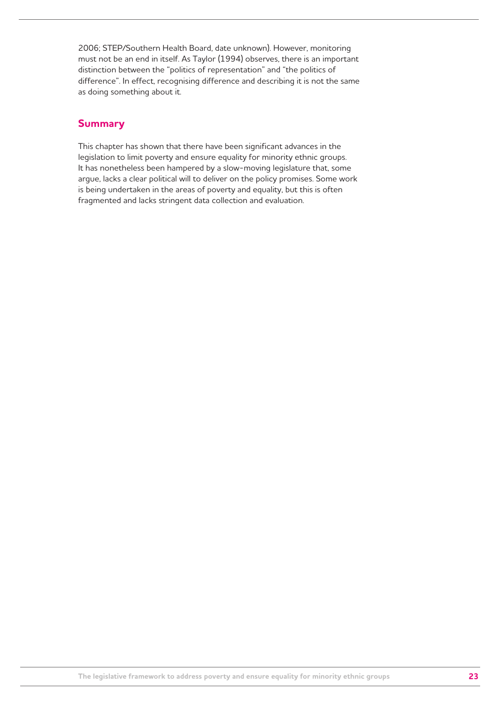2006; STEP/Southern Health Board, date unknown). However, monitoring must not be an end in itself. As Taylor (1994) observes, there is an important distinction between the "politics of representation" and "the politics of difference". In effect, recognising difference and describing it is not the same as doing something about it.

## **Summary**

This chapter has shown that there have been significant advances in the legislation to limit poverty and ensure equality for minority ethnic groups. It has nonetheless been hampered by a slow-moving legislature that, some argue, lacks a clear political will to deliver on the policy promises. Some work is being undertaken in the areas of poverty and equality, but this is often fragmented and lacks stringent data collection and evaluation.

**The legislative framework to address poverty and ensure equality for minority ethnic groups 23**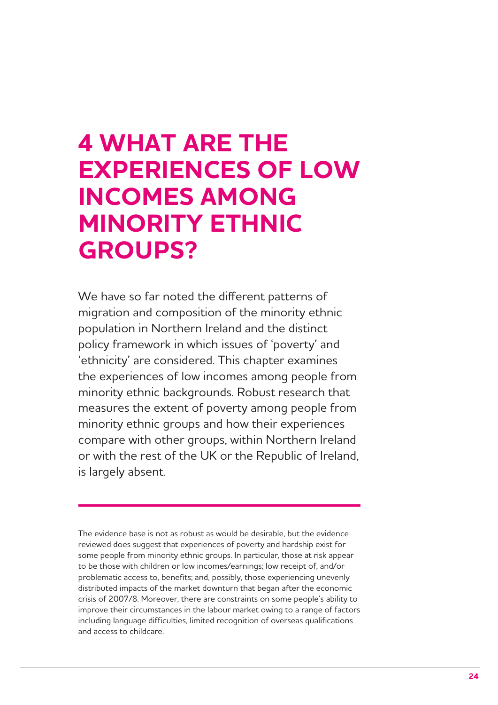# **4 WHAT ARE THE EXPERIENCES OF LOW INCOMES AMONG MINORITY ETHNIC GROUPS?**

We have so far noted the different patterns of migration and composition of the minority ethnic population in Northern Ireland and the distinct policy framework in which issues of 'poverty' and 'ethnicity' are considered. This chapter examines the experiences of low incomes among people from minority ethnic backgrounds. Robust research that measures the extent of poverty among people from minority ethnic groups and how their experiences compare with other groups, within Northern Ireland or with the rest of the UK or the Republic of Ireland, is largely absent.

The evidence base is not as robust as would be desirable, but the evidence reviewed does suggest that experiences of poverty and hardship exist for some people from minority ethnic groups. In particular, those at risk appear to be those with children or low incomes/earnings; low receipt of, and/or problematic access to, benefits; and, possibly, those experiencing unevenly distributed impacts of the market downturn that began after the economic crisis of 2007/8. Moreover, there are constraints on some people's ability to improve their circumstances in the labour market owing to a range of factors including language difficulties, limited recognition of overseas qualifications and access to childcare.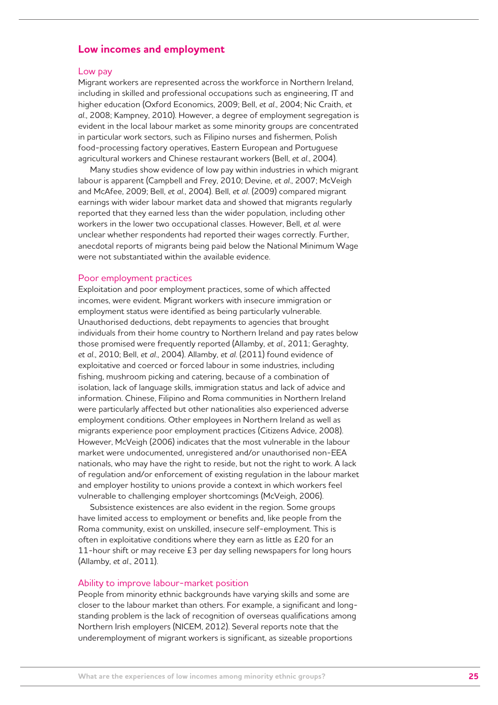### **Low incomes and employment**

#### Low pay

Migrant workers are represented across the workforce in Northern Ireland, including in skilled and professional occupations such as engineering, IT and higher education (Oxford Economics, 2009; Bell, *et al*., 2004; Nic Craith, *et al*., 2008; Kampney, 2010). However, a degree of employment segregation is evident in the local labour market as some minority groups are concentrated in particular work sectors, such as Filipino nurses and fishermen, Polish food-processing factory operatives, Eastern European and Portuguese agricultural workers and Chinese restaurant workers (Bell, *et al*., 2004).

Many studies show evidence of low pay within industries in which migrant labour is apparent (Campbell and Frey, 2010; Devine, *et al*., 2007; McVeigh and McAfee, 2009; Bell, *et al*., 2004). Bell, *et al*. (2009) compared migrant earnings with wider labour market data and showed that migrants regularly reported that they earned less than the wider population, including other workers in the lower two occupational classes. However, Bell, *et al*. were unclear whether respondents had reported their wages correctly. Further, anecdotal reports of migrants being paid below the National Minimum Wage were not substantiated within the available evidence.

#### Poor employment practices

Exploitation and poor employment practices, some of which affected incomes, were evident. Migrant workers with insecure immigration or employment status were identified as being particularly vulnerable. Unauthorised deductions, debt repayments to agencies that brought individuals from their home country to Northern Ireland and pay rates below those promised were frequently reported (Allamby, *et al*., 2011; Geraghty, *et al*., 2010; Bell, *et al*., 2004). Allamby, *et al*. (2011) found evidence of exploitative and coerced or forced labour in some industries, including fishing, mushroom picking and catering, because of a combination of isolation, lack of language skills, immigration status and lack of advice and information. Chinese, Filipino and Roma communities in Northern Ireland were particularly affected but other nationalities also experienced adverse employment conditions. Other employees in Northern Ireland as well as migrants experience poor employment practices (Citizens Advice, 2008). However, McVeigh (2006) indicates that the most vulnerable in the labour market were undocumented, unregistered and/or unauthorised non-EEA nationals, who may have the right to reside, but not the right to work. A lack of regulation and/or enforcement of existing regulation in the labour market and employer hostility to unions provide a context in which workers feel vulnerable to challenging employer shortcomings (McVeigh, 2006).

Subsistence existences are also evident in the region. Some groups have limited access to employment or benefits and, like people from the Roma community, exist on unskilled, insecure self-employment. This is often in exploitative conditions where they earn as little as £20 for an 11-hour shift or may receive £3 per day selling newspapers for long hours (Allamby, *et al*., 2011).

#### Ability to improve labour-market position

People from minority ethnic backgrounds have varying skills and some are closer to the labour market than others. For example, a significant and longstanding problem is the lack of recognition of overseas qualifications among Northern Irish employers (NICEM, 2012). Several reports note that the underemployment of migrant workers is significant, as sizeable proportions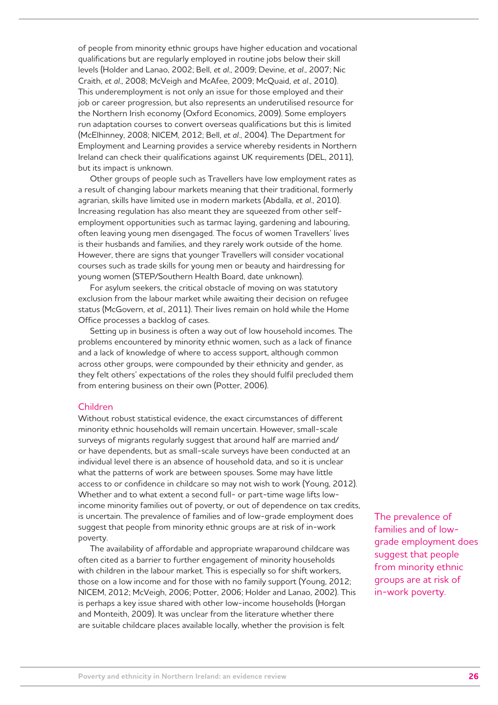of people from minority ethnic groups have higher education and vocational qualifications but are regularly employed in routine jobs below their skill levels (Holder and Lanao, 2002; Bell, *et al*., 2009; Devine, *et al*., 2007; Nic Craith, *et al*., 2008; McVeigh and McAfee, 2009; McQuaid, *et al*., 2010). This underemployment is not only an issue for those employed and their job or career progression, but also represents an underutilised resource for the Northern Irish economy (Oxford Economics, 2009). Some employers run adaptation courses to convert overseas qualifications but this is limited (McElhinney, 2008; NICEM, 2012; Bell, *et al*., 2004). The Department for Employment and Learning provides a service whereby residents in Northern Ireland can check their qualifications against UK requirements (DEL, 2011), but its impact is unknown.

Other groups of people such as Travellers have low employment rates as a result of changing labour markets meaning that their traditional, formerly agrarian, skills have limited use in modern markets (Abdalla, *et al*., 2010). Increasing regulation has also meant they are squeezed from other selfemployment opportunities such as tarmac laying, gardening and labouring, often leaving young men disengaged. The focus of women Travellers' lives is their husbands and families, and they rarely work outside of the home. However, there are signs that younger Travellers will consider vocational courses such as trade skills for young men or beauty and hairdressing for young women (STEP/Southern Health Board, date unknown).

For asylum seekers, the critical obstacle of moving on was statutory exclusion from the labour market while awaiting their decision on refugee status (McGovern, *et al*., 2011). Their lives remain on hold while the Home Office processes a backlog of cases.

Setting up in business is often a way out of low household incomes. The problems encountered by minority ethnic women, such as a lack of finance and a lack of knowledge of where to access support, although common across other groups, were compounded by their ethnicity and gender, as they felt others' expectations of the roles they should fulfil precluded them from entering business on their own (Potter, 2006).

#### Children

Without robust statistical evidence, the exact circumstances of different minority ethnic households will remain uncertain. However, small-scale surveys of migrants regularly suggest that around half are married and/ or have dependents, but as small-scale surveys have been conducted at an individual level there is an absence of household data, and so it is unclear what the patterns of work are between spouses. Some may have little access to or confidence in childcare so may not wish to work (Young, 2012). Whether and to what extent a second full- or part-time wage lifts lowincome minority families out of poverty, or out of dependence on tax credits, is uncertain. The prevalence of families and of low-grade employment does suggest that people from minority ethnic groups are at risk of in-work poverty.

The availability of affordable and appropriate wraparound childcare was often cited as a barrier to further engagement of minority households with children in the labour market. This is especially so for shift workers, those on a low income and for those with no family support (Young, 2012; NICEM, 2012; McVeigh, 2006; Potter, 2006; Holder and Lanao, 2002). This is perhaps a key issue shared with other low-income households (Horgan and Monteith, 2009). It was unclear from the literature whether there are suitable childcare places available locally, whether the provision is felt

The prevalence of families and of lowgrade employment does suggest that people from minority ethnic groups are at risk of in-work poverty.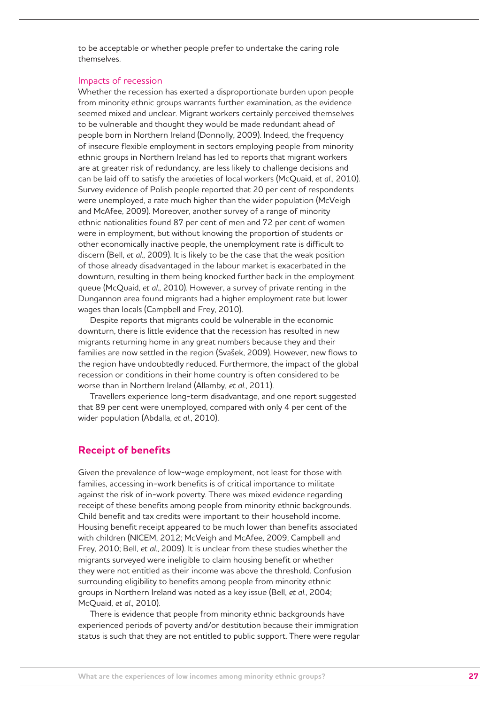to be acceptable or whether people prefer to undertake the caring role themselves.

#### Impacts of recession

Whether the recession has exerted a disproportionate burden upon people from minority ethnic groups warrants further examination, as the evidence seemed mixed and unclear. Migrant workers certainly perceived themselves to be vulnerable and thought they would be made redundant ahead of people born in Northern Ireland (Donnolly, 2009). Indeed, the frequency of insecure flexible employment in sectors employing people from minority ethnic groups in Northern Ireland has led to reports that migrant workers are at greater risk of redundancy, are less likely to challenge decisions and can be laid off to satisfy the anxieties of local workers (McQuaid, *et al*., 2010). Survey evidence of Polish people reported that 20 per cent of respondents were unemployed, a rate much higher than the wider population (McVeigh and McAfee, 2009). Moreover, another survey of a range of minority ethnic nationalities found 87 per cent of men and 72 per cent of women were in employment, but without knowing the proportion of students or other economically inactive people, the unemployment rate is difficult to discern (Bell, *et al*., 2009). It is likely to be the case that the weak position of those already disadvantaged in the labour market is exacerbated in the downturn, resulting in them being knocked further back in the employment queue (McQuaid, *et al*., 2010). However, a survey of private renting in the Dungannon area found migrants had a higher employment rate but lower wages than locals (Campbell and Frey, 2010).

Despite reports that migrants could be vulnerable in the economic downturn, there is little evidence that the recession has resulted in new migrants returning home in any great numbers because they and their families are now settled in the region (Svašek, 2009). However, new flows to the region have undoubtedly reduced. Furthermore, the impact of the global recession or conditions in their home country is often considered to be worse than in Northern Ireland (Allamby, *et al*., 2011).

Travellers experience long-term disadvantage, and one report suggested that 89 per cent were unemployed, compared with only 4 per cent of the wider population (Abdalla, *et al*., 2010).

#### **Receipt of benefits**

Given the prevalence of low-wage employment, not least for those with families, accessing in-work benefits is of critical importance to militate against the risk of in-work poverty. There was mixed evidence regarding receipt of these benefits among people from minority ethnic backgrounds. Child benefit and tax credits were important to their household income. Housing benefit receipt appeared to be much lower than benefits associated with children (NICEM, 2012; McVeigh and McAfee, 2009; Campbell and Frey, 2010; Bell, *et al*., 2009). It is unclear from these studies whether the migrants surveyed were ineligible to claim housing benefit or whether they were not entitled as their income was above the threshold. Confusion surrounding eligibility to benefits among people from minority ethnic groups in Northern Ireland was noted as a key issue (Bell, *et al*., 2004; McQuaid, *et al*., 2010).

There is evidence that people from minority ethnic backgrounds have experienced periods of poverty and/or destitution because their immigration status is such that they are not entitled to public support. There were regular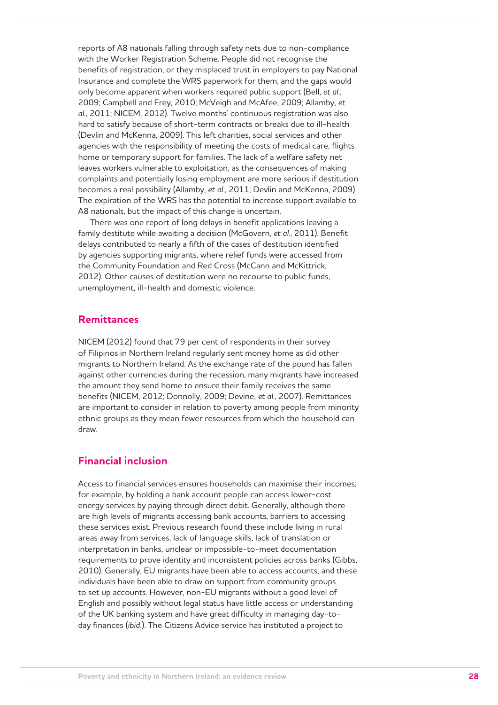reports of A8 nationals falling through safety nets due to non-compliance with the Worker Registration Scheme. People did not recognise the benefits of registration, or they misplaced trust in employers to pay National Insurance and complete the WRS paperwork for them, and the gaps would only become apparent when workers required public support (Bell, *et al*., 2009; Campbell and Frey, 2010; McVeigh and McAfee, 2009; Allamby, *et al*., 2011; NICEM, 2012). Twelve months' continuous registration was also hard to satisfy because of short-term contracts or breaks due to ill-health (Devlin and McKenna, 2009). This left charities, social services and other agencies with the responsibility of meeting the costs of medical care, flights home or temporary support for families. The lack of a welfare safety net leaves workers vulnerable to exploitation, as the consequences of making complaints and potentially losing employment are more serious if destitution becomes a real possibility (Allamby, *et al*., 2011; Devlin and McKenna, 2009). The expiration of the WRS has the potential to increase support available to A8 nationals, but the impact of this change is uncertain.

There was one report of long delays in benefit applications leaving a family destitute while awaiting a decision (McGovern, *et al*., 2011). Benefit delays contributed to nearly a fifth of the cases of destitution identified by agencies supporting migrants, where relief funds were accessed from the Community Foundation and Red Cross (McCann and McKittrick, 2012). Other causes of destitution were no recourse to public funds, unemployment, ill-health and domestic violence.

### **Remittances**

NICEM (2012) found that 79 per cent of respondents in their survey of Filipinos in Northern Ireland regularly sent money home as did other migrants to Northern Ireland. As the exchange rate of the pound has fallen against other currencies during the recession, many migrants have increased the amount they send home to ensure their family receives the same benefits (NICEM, 2012; Donnolly, 2009; Devine, *et al*., 2007). Remittances are important to consider in relation to poverty among people from minority ethnic groups as they mean fewer resources from which the household can draw.

## **Financial inclusion**

Access to financial services ensures households can maximise their incomes; for example, by holding a bank account people can access lower-cost energy services by paying through direct debit. Generally, although there are high levels of migrants accessing bank accounts, barriers to accessing these services exist. Previous research found these include living in rural areas away from services, lack of language skills, lack of translation or interpretation in banks, unclear or impossible-to-meet documentation requirements to prove identity and inconsistent policies across banks (Gibbs, 2010). Generally, EU migrants have been able to access accounts, and these individuals have been able to draw on support from community groups to set up accounts. However, non-EU migrants without a good level of English and possibly without legal status have little access or understanding of the UK banking system and have great difficulty in managing day-today finances (*ibid.*). The Citizens Advice service has instituted a project to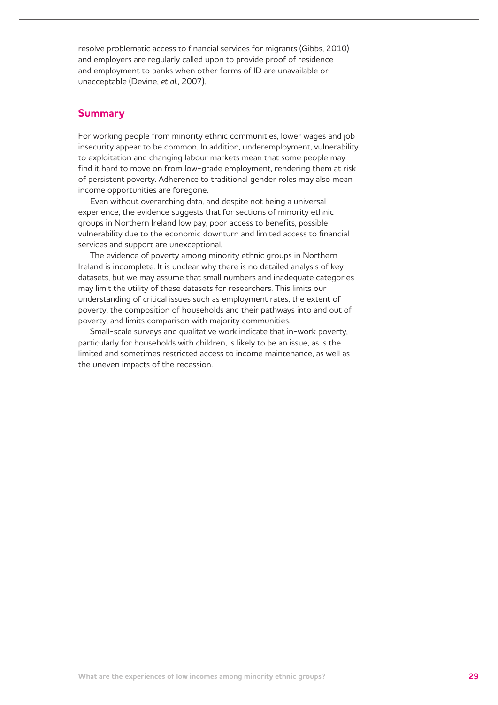resolve problematic access to financial services for migrants (Gibbs, 2010) and employers are regularly called upon to provide proof of residence and employment to banks when other forms of ID are unavailable or unacceptable (Devine, *et al*., 2007).

### **Summary**

For working people from minority ethnic communities, lower wages and job insecurity appear to be common. In addition, underemployment, vulnerability to exploitation and changing labour markets mean that some people may find it hard to move on from low-grade employment, rendering them at risk of persistent poverty. Adherence to traditional gender roles may also mean income opportunities are foregone.

Even without overarching data, and despite not being a universal experience, the evidence suggests that for sections of minority ethnic groups in Northern Ireland low pay, poor access to benefits, possible vulnerability due to the economic downturn and limited access to financial services and support are unexceptional.

The evidence of poverty among minority ethnic groups in Northern Ireland is incomplete. It is unclear why there is no detailed analysis of key datasets, but we may assume that small numbers and inadequate categories may limit the utility of these datasets for researchers. This limits our understanding of critical issues such as employment rates, the extent of poverty, the composition of households and their pathways into and out of poverty, and limits comparison with majority communities.

Small-scale surveys and qualitative work indicate that in-work poverty, particularly for households with children, is likely to be an issue, as is the limited and sometimes restricted access to income maintenance, as well as the uneven impacts of the recession.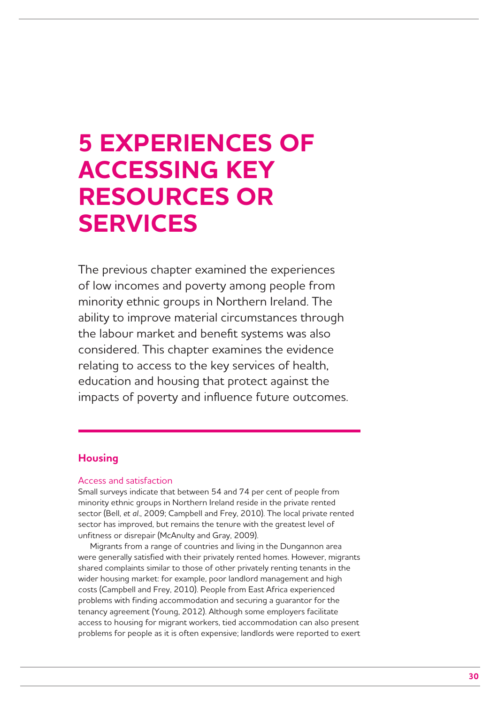## **5 EXPERIENCES OF ACCESSING KEY RESOURCES OR SERVICES**

The previous chapter examined the experiences of low incomes and poverty among people from minority ethnic groups in Northern Ireland. The ability to improve material circumstances through the labour market and benefit systems was also considered. This chapter examines the evidence relating to access to the key services of health, education and housing that protect against the impacts of poverty and influence future outcomes.

## **Housing**

#### Access and satisfaction

Small surveys indicate that between 54 and 74 per cent of people from minority ethnic groups in Northern Ireland reside in the private rented sector (Bell, *et al*., 2009; Campbell and Frey, 2010). The local private rented sector has improved, but remains the tenure with the greatest level of unfitness or disrepair (McAnulty and Gray, 2009).

Migrants from a range of countries and living in the Dungannon area were generally satisfied with their privately rented homes. However, migrants shared complaints similar to those of other privately renting tenants in the wider housing market: for example, poor landlord management and high costs (Campbell and Frey, 2010). People from East Africa experienced problems with finding accommodation and securing a guarantor for the tenancy agreement (Young, 2012). Although some employers facilitate access to housing for migrant workers, tied accommodation can also present problems for people as it is often expensive; landlords were reported to exert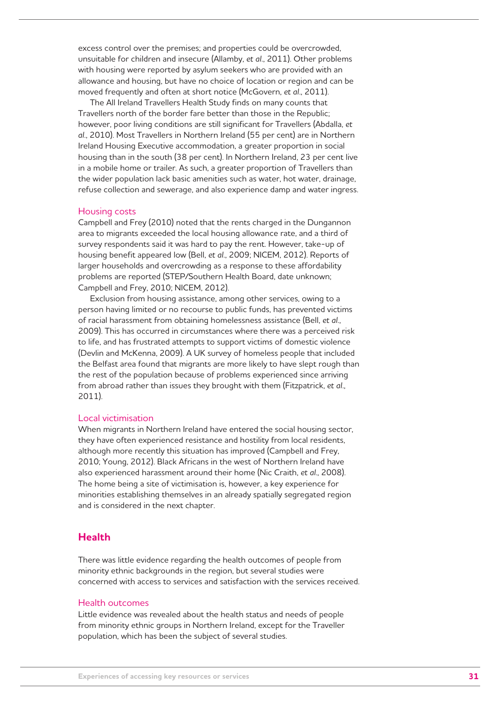excess control over the premises; and properties could be overcrowded, unsuitable for children and insecure (Allamby, *et al*., 2011). Other problems with housing were reported by asylum seekers who are provided with an allowance and housing, but have no choice of location or region and can be moved frequently and often at short notice (McGovern, *et al*., 2011).

The All Ireland Travellers Health Study finds on many counts that Travellers north of the border fare better than those in the Republic; however, poor living conditions are still significant for Travellers (Abdalla, *et al*., 2010). Most Travellers in Northern Ireland (55 per cent) are in Northern Ireland Housing Executive accommodation, a greater proportion in social housing than in the south (38 per cent). In Northern Ireland, 23 per cent live in a mobile home or trailer. As such, a greater proportion of Travellers than the wider population lack basic amenities such as water, hot water, drainage, refuse collection and sewerage, and also experience damp and water ingress.

#### Housing costs

Campbell and Frey (2010) noted that the rents charged in the Dungannon area to migrants exceeded the local housing allowance rate, and a third of survey respondents said it was hard to pay the rent. However, take-up of housing benefit appeared low (Bell, *et al*., 2009; NICEM, 2012). Reports of larger households and overcrowding as a response to these affordability problems are reported (STEP/Southern Health Board, date unknown; Campbell and Frey, 2010; NICEM, 2012).

Exclusion from housing assistance, among other services, owing to a person having limited or no recourse to public funds, has prevented victims of racial harassment from obtaining homelessness assistance (Bell, *et al*., 2009). This has occurred in circumstances where there was a perceived risk to life, and has frustrated attempts to support victims of domestic violence (Devlin and McKenna, 2009). A UK survey of homeless people that included the Belfast area found that migrants are more likely to have slept rough than the rest of the population because of problems experienced since arriving from abroad rather than issues they brought with them (Fitzpatrick, *et al*., 2011).

#### Local victimisation

When migrants in Northern Ireland have entered the social housing sector, they have often experienced resistance and hostility from local residents, although more recently this situation has improved (Campbell and Frey, 2010; Young, 2012). Black Africans in the west of Northern Ireland have also experienced harassment around their home (Nic Craith, *et al*., 2008). The home being a site of victimisation is, however, a key experience for minorities establishing themselves in an already spatially segregated region and is considered in the next chapter.

### **Health**

There was little evidence regarding the health outcomes of people from minority ethnic backgrounds in the region, but several studies were concerned with access to services and satisfaction with the services received.

#### Health outcomes

Little evidence was revealed about the health status and needs of people from minority ethnic groups in Northern Ireland, except for the Traveller population, which has been the subject of several studies.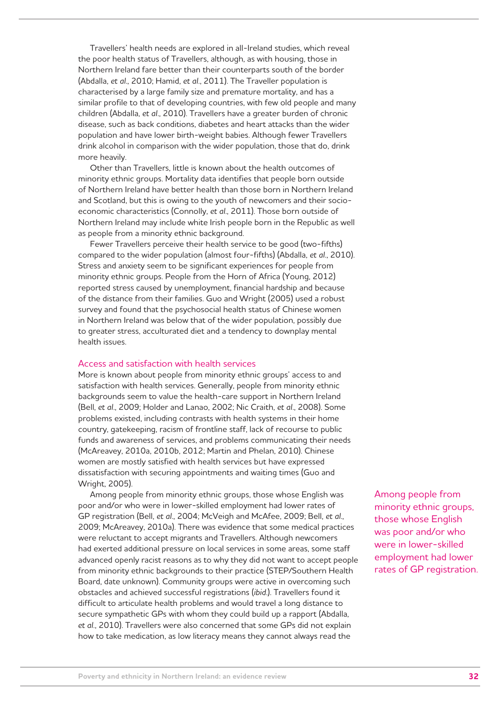Travellers' health needs are explored in all-Ireland studies, which reveal the poor health status of Travellers, although, as with housing, those in Northern Ireland fare better than their counterparts south of the border (Abdalla, *et al*., 2010; Hamid, *et al*., 2011). The Traveller population is characterised by a large family size and premature mortality, and has a similar profile to that of developing countries, with few old people and many children (Abdalla, *et al*., 2010). Travellers have a greater burden of chronic disease, such as back conditions, diabetes and heart attacks than the wider population and have lower birth-weight babies. Although fewer Travellers drink alcohol in comparison with the wider population, those that do, drink more heavily.

Other than Travellers, little is known about the health outcomes of minority ethnic groups. Mortality data identifies that people born outside of Northern Ireland have better health than those born in Northern Ireland and Scotland, but this is owing to the youth of newcomers and their socioeconomic characteristics (Connolly, *et al*., 2011). Those born outside of Northern Ireland may include white Irish people born in the Republic as well as people from a minority ethnic background.

Fewer Travellers perceive their health service to be good (two-fifths) compared to the wider population (almost four-fifths) (Abdalla, *et al*., 2010). Stress and anxiety seem to be significant experiences for people from minority ethnic groups. People from the Horn of Africa (Young, 2012) reported stress caused by unemployment, financial hardship and because of the distance from their families. Guo and Wright (2005) used a robust survey and found that the psychosocial health status of Chinese women in Northern Ireland was below that of the wider population, possibly due to greater stress, acculturated diet and a tendency to downplay mental health issues.

#### Access and satisfaction with health services

More is known about people from minority ethnic groups' access to and satisfaction with health services. Generally, people from minority ethnic backgrounds seem to value the health-care support in Northern Ireland (Bell, *et al*., 2009; Holder and Lanao, 2002; Nic Craith, *et al*., 2008). Some problems existed, including contrasts with health systems in their home country, gatekeeping, racism of frontline staff, lack of recourse to public funds and awareness of services, and problems communicating their needs (McAreavey, 2010a, 2010b, 2012; Martin and Phelan, 2010). Chinese women are mostly satisfied with health services but have expressed dissatisfaction with securing appointments and waiting times (Guo and Wright, 2005).

Among people from minority ethnic groups, those whose English was poor and/or who were in lower-skilled employment had lower rates of GP registration (Bell, *et al*., 2004; McVeigh and McAfee, 2009; Bell, *et al*., 2009; McAreavey, 2010a). There was evidence that some medical practices were reluctant to accept migrants and Travellers. Although newcomers had exerted additional pressure on local services in some areas, some staff advanced openly racist reasons as to why they did not want to accept people from minority ethnic backgrounds to their practice (STEP/Southern Health Board, date unknown). Community groups were active in overcoming such obstacles and achieved successful registrations (*ibid*.). Travellers found it difficult to articulate health problems and would travel a long distance to secure sympathetic GPs with whom they could build up a rapport (Abdalla, *et al*., 2010). Travellers were also concerned that some GPs did not explain how to take medication, as low literacy means they cannot always read the

Among people from minority ethnic groups, those whose English was poor and/or who were in lower-skilled employment had lower rates of GP registration.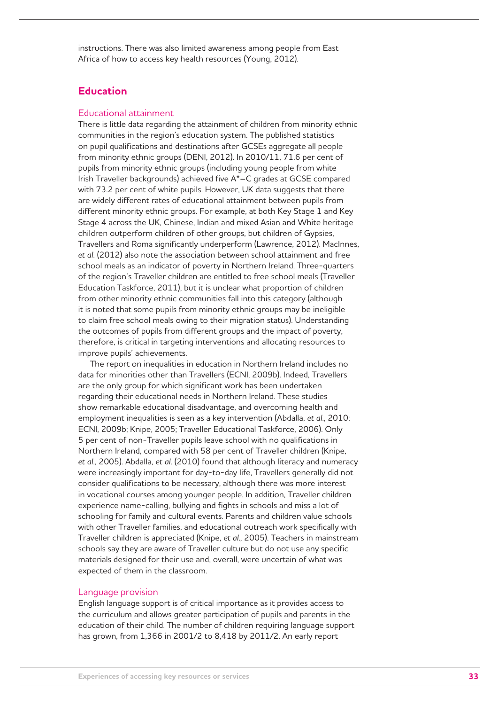instructions. There was also limited awareness among people from East Africa of how to access key health resources (Young, 2012).

## **Education**

#### Educational attainment

There is little data regarding the attainment of children from minority ethnic communities in the region's education system. The published statistics on pupil qualifications and destinations after GCSEs aggregate all people from minority ethnic groups (DENI, 2012). In 2010/11, 71.6 per cent of pupils from minority ethnic groups (including young people from white Irish Traveller backgrounds) achieved five A\*–C grades at GCSE compared with 73.2 per cent of white pupils. However, UK data suggests that there are widely different rates of educational attainment between pupils from different minority ethnic groups. For example, at both Key Stage 1 and Key Stage 4 across the UK, Chinese, Indian and mixed Asian and White heritage children outperform children of other groups, but children of Gypsies, Travellers and Roma significantly underperform (Lawrence, 2012). MacInnes, *et al*. (2012) also note the association between school attainment and free school meals as an indicator of poverty in Northern Ireland. Three-quarters of the region's Traveller children are entitled to free school meals (Traveller Education Taskforce, 2011), but it is unclear what proportion of children from other minority ethnic communities fall into this category (although it is noted that some pupils from minority ethnic groups may be ineligible to claim free school meals owing to their migration status). Understanding the outcomes of pupils from different groups and the impact of poverty, therefore, is critical in targeting interventions and allocating resources to improve pupils' achievements.

The report on inequalities in education in Northern Ireland includes no data for minorities other than Travellers (ECNI, 2009b). Indeed, Travellers are the only group for which significant work has been undertaken regarding their educational needs in Northern Ireland. These studies show remarkable educational disadvantage, and overcoming health and employment inequalities is seen as a key intervention (Abdalla, *et al*., 2010; ECNI, 2009b; Knipe, 2005; Traveller Educational Taskforce, 2006). Only 5 per cent of non-Traveller pupils leave school with no qualifications in Northern Ireland, compared with 58 per cent of Traveller children (Knipe, *et al*., 2005). Abdalla, *et al*. (2010) found that although literacy and numeracy were increasingly important for day-to-day life, Travellers generally did not consider qualifications to be necessary, although there was more interest in vocational courses among younger people. In addition, Traveller children experience name-calling, bullying and fights in schools and miss a lot of schooling for family and cultural events. Parents and children value schools with other Traveller families, and educational outreach work specifically with Traveller children is appreciated (Knipe, *et al*., 2005). Teachers in mainstream schools say they are aware of Traveller culture but do not use any specific materials designed for their use and, overall, were uncertain of what was expected of them in the classroom.

#### Language provision

English language support is of critical importance as it provides access to the curriculum and allows greater participation of pupils and parents in the education of their child. The number of children requiring language support has grown, from 1,366 in 2001/2 to 8,418 by 2011/2. An early report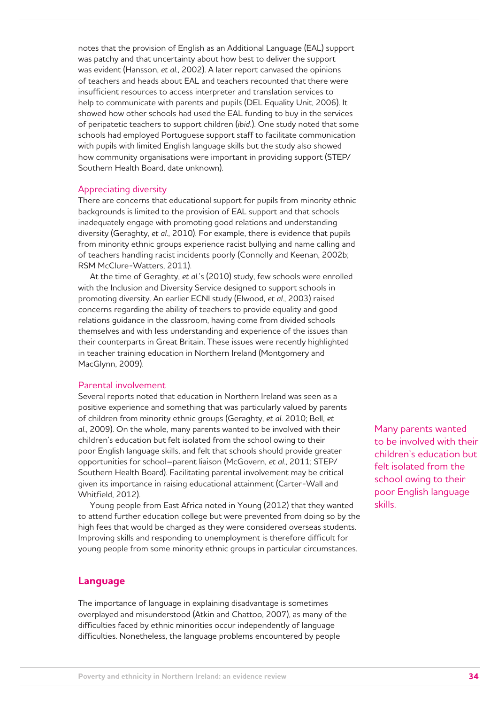notes that the provision of English as an Additional Language (EAL) support was patchy and that uncertainty about how best to deliver the support was evident (Hansson, *et al*., 2002). A later report canvased the opinions of teachers and heads about EAL and teachers recounted that there were insufficient resources to access interpreter and translation services to help to communicate with parents and pupils (DEL Equality Unit, 2006). It showed how other schools had used the EAL funding to buy in the services of peripatetic teachers to support children (*ibid.*). One study noted that some schools had employed Portuguese support staff to facilitate communication with pupils with limited English language skills but the study also showed how community organisations were important in providing support (STEP/ Southern Health Board, date unknown).

#### Appreciating diversity

There are concerns that educational support for pupils from minority ethnic backgrounds is limited to the provision of EAL support and that schools inadequately engage with promoting good relations and understanding diversity (Geraghty, *et al*., 2010). For example, there is evidence that pupils from minority ethnic groups experience racist bullying and name calling and of teachers handling racist incidents poorly (Connolly and Keenan, 2002b; RSM McClure-Watters, 2011).

At the time of Geraghty, *et al*.'s (2010) study, few schools were enrolled with the Inclusion and Diversity Service designed to support schools in promoting diversity. An earlier ECNI study (Elwood, *et al*., 2003) raised concerns regarding the ability of teachers to provide equality and good relations guidance in the classroom, having come from divided schools themselves and with less understanding and experience of the issues than their counterparts in Great Britain. These issues were recently highlighted in teacher training education in Northern Ireland (Montgomery and MacGlynn, 2009).

#### Parental involvement

Several reports noted that education in Northern Ireland was seen as a positive experience and something that was particularly valued by parents of children from minority ethnic groups (Geraghty, *et al*. 2010; Bell, *et al*., 2009). On the whole, many parents wanted to be involved with their children's education but felt isolated from the school owing to their poor English language skills, and felt that schools should provide greater opportunities for school–parent liaison (McGovern, *et al*., 2011; STEP/ Southern Health Board). Facilitating parental involvement may be critical given its importance in raising educational attainment (Carter-Wall and Whitfield, 2012).

Young people from East Africa noted in Young (2012) that they wanted to attend further education college but were prevented from doing so by the high fees that would be charged as they were considered overseas students. Improving skills and responding to unemployment is therefore difficult for young people from some minority ethnic groups in particular circumstances.

### **Language**

The importance of language in explaining disadvantage is sometimes overplayed and misunderstood (Atkin and Chattoo, 2007), as many of the difficulties faced by ethnic minorities occur independently of language difficulties. Nonetheless, the language problems encountered by people

Many parents wanted to be involved with their children's education but felt isolated from the school owing to their poor English language skills.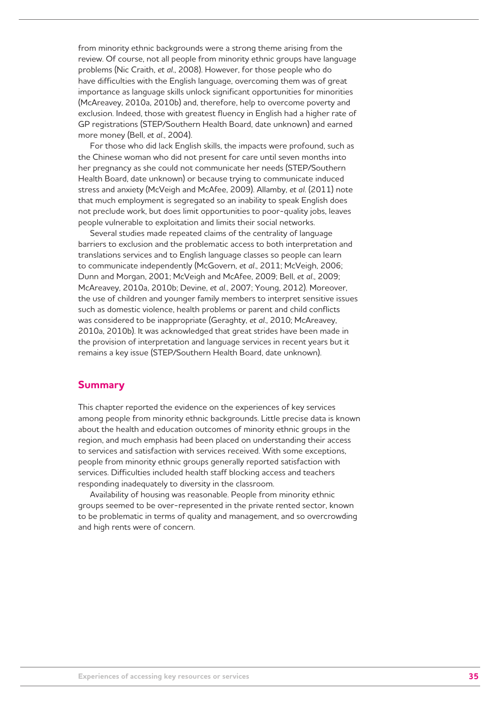from minority ethnic backgrounds were a strong theme arising from the review. Of course, not all people from minority ethnic groups have language problems (Nic Craith, *et al*., 2008). However, for those people who do have difficulties with the English language, overcoming them was of great importance as language skills unlock significant opportunities for minorities (McAreavey, 2010a, 2010b) and, therefore, help to overcome poverty and exclusion. Indeed, those with greatest fluency in English had a higher rate of GP registrations (STEP/Southern Health Board, date unknown) and earned more money (Bell, *et al*., 2004).

For those who did lack English skills, the impacts were profound, such as the Chinese woman who did not present for care until seven months into her pregnancy as she could not communicate her needs (STEP/Southern Health Board, date unknown) or because trying to communicate induced stress and anxiety (McVeigh and McAfee, 2009). Allamby, *et al*. (2011) note that much employment is segregated so an inability to speak English does not preclude work, but does limit opportunities to poor-quality jobs, leaves people vulnerable to exploitation and limits their social networks.

Several studies made repeated claims of the centrality of language barriers to exclusion and the problematic access to both interpretation and translations services and to English language classes so people can learn to communicate independently (McGovern, *et al*., 2011; McVeigh, 2006; Dunn and Morgan, 2001; McVeigh and McAfee, 2009; Bell, *et al*., 2009; McAreavey, 2010a, 2010b; Devine, *et al*., 2007; Young, 2012). Moreover, the use of children and younger family members to interpret sensitive issues such as domestic violence, health problems or parent and child conflicts was considered to be inappropriate (Geraghty, *et al*., 2010; McAreavey, 2010a, 2010b). It was acknowledged that great strides have been made in the provision of interpretation and language services in recent years but it remains a key issue (STEP/Southern Health Board, date unknown).

#### **Summary**

This chapter reported the evidence on the experiences of key services among people from minority ethnic backgrounds. Little precise data is known about the health and education outcomes of minority ethnic groups in the region, and much emphasis had been placed on understanding their access to services and satisfaction with services received. With some exceptions, people from minority ethnic groups generally reported satisfaction with services. Difficulties included health staff blocking access and teachers responding inadequately to diversity in the classroom.

Availability of housing was reasonable. People from minority ethnic groups seemed to be over-represented in the private rented sector, known to be problematic in terms of quality and management, and so overcrowding and high rents were of concern.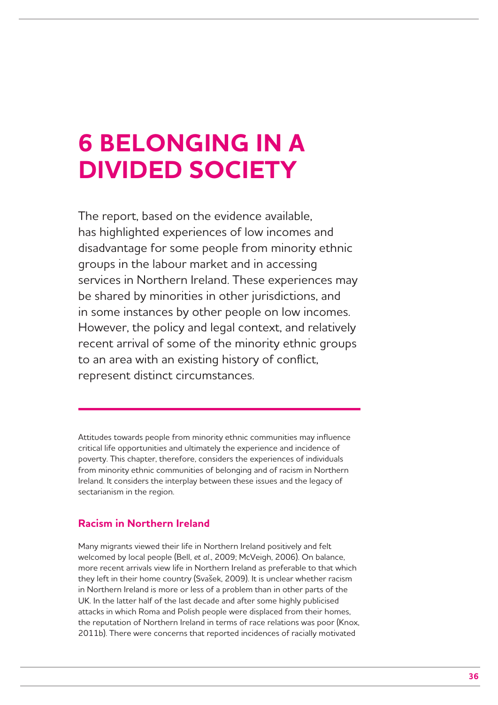## **6 BELONGING IN A DIVIDED SOCIETY**

The report, based on the evidence available, has highlighted experiences of low incomes and disadvantage for some people from minority ethnic groups in the labour market and in accessing services in Northern Ireland. These experiences may be shared by minorities in other jurisdictions, and in some instances by other people on low incomes. However, the policy and legal context, and relatively recent arrival of some of the minority ethnic groups to an area with an existing history of conflict, represent distinct circumstances.

Attitudes towards people from minority ethnic communities may influence critical life opportunities and ultimately the experience and incidence of poverty. This chapter, therefore, considers the experiences of individuals from minority ethnic communities of belonging and of racism in Northern Ireland. It considers the interplay between these issues and the legacy of sectarianism in the region.

## **Racism in Northern Ireland**

Many migrants viewed their life in Northern Ireland positively and felt welcomed by local people (Bell, *et al*., 2009; McVeigh, 2006). On balance, more recent arrivals view life in Northern Ireland as preferable to that which they left in their home country (Svašek, 2009). It is unclear whether racism in Northern Ireland is more or less of a problem than in other parts of the UK. In the latter half of the last decade and after some highly publicised attacks in which Roma and Polish people were displaced from their homes, the reputation of Northern Ireland in terms of race relations was poor (Knox, 2011b). There were concerns that reported incidences of racially motivated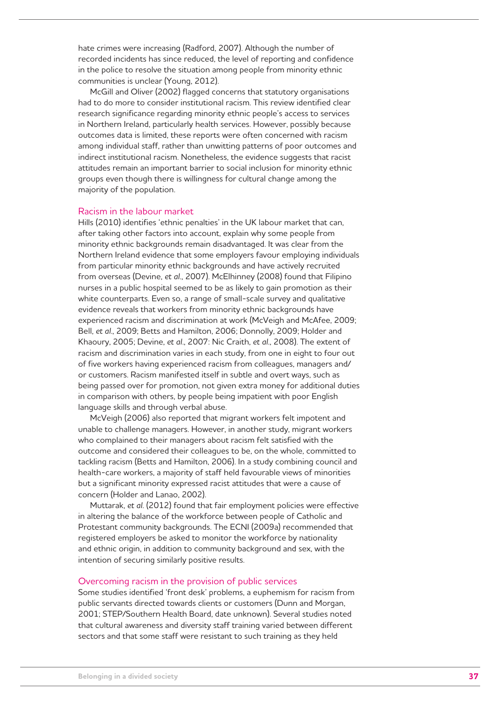hate crimes were increasing (Radford, 2007). Although the number of recorded incidents has since reduced, the level of reporting and confidence in the police to resolve the situation among people from minority ethnic communities is unclear (Young, 2012).

McGill and Oliver (2002) flagged concerns that statutory organisations had to do more to consider institutional racism. This review identified clear research significance regarding minority ethnic people's access to services in Northern Ireland, particularly health services. However, possibly because outcomes data is limited, these reports were often concerned with racism among individual staff, rather than unwitting patterns of poor outcomes and indirect institutional racism. Nonetheless, the evidence suggests that racist attitudes remain an important barrier to social inclusion for minority ethnic groups even though there is willingness for cultural change among the majority of the population.

#### Racism in the labour market

Hills (2010) identifies 'ethnic penalties' in the UK labour market that can, after taking other factors into account, explain why some people from minority ethnic backgrounds remain disadvantaged. It was clear from the Northern Ireland evidence that some employers favour employing individuals from particular minority ethnic backgrounds and have actively recruited from overseas (Devine, *et al*., 2007). McElhinney (2008) found that Filipino nurses in a public hospital seemed to be as likely to gain promotion as their white counterparts. Even so, a range of small-scale survey and qualitative evidence reveals that workers from minority ethnic backgrounds have experienced racism and discrimination at work (McVeigh and McAfee, 2009; Bell, *et al*., 2009; Betts and Hamilton, 2006; Donnolly, 2009; Holder and Khaoury, 2005; Devine, *et al*., 2007: Nic Craith, *et al*., 2008). The extent of racism and discrimination varies in each study, from one in eight to four out of five workers having experienced racism from colleagues, managers and/ or customers. Racism manifested itself in subtle and overt ways, such as being passed over for promotion, not given extra money for additional duties in comparison with others, by people being impatient with poor English language skills and through verbal abuse.

McVeigh (2006) also reported that migrant workers felt impotent and unable to challenge managers. However, in another study, migrant workers who complained to their managers about racism felt satisfied with the outcome and considered their colleagues to be, on the whole, committed to tackling racism (Betts and Hamilton, 2006). In a study combining council and health-care workers, a majority of staff held favourable views of minorities but a significant minority expressed racist attitudes that were a cause of concern (Holder and Lanao, 2002).

Muttarak, *et al*. (2012) found that fair employment policies were effective in altering the balance of the workforce between people of Catholic and Protestant community backgrounds. The ECNI (2009a) recommended that registered employers be asked to monitor the workforce by nationality and ethnic origin, in addition to community background and sex, with the intention of securing similarly positive results.

#### Overcoming racism in the provision of public services

Some studies identified 'front desk' problems, a euphemism for racism from public servants directed towards clients or customers (Dunn and Morgan, 2001; STEP/Southern Health Board, date unknown). Several studies noted that cultural awareness and diversity staff training varied between different sectors and that some staff were resistant to such training as they held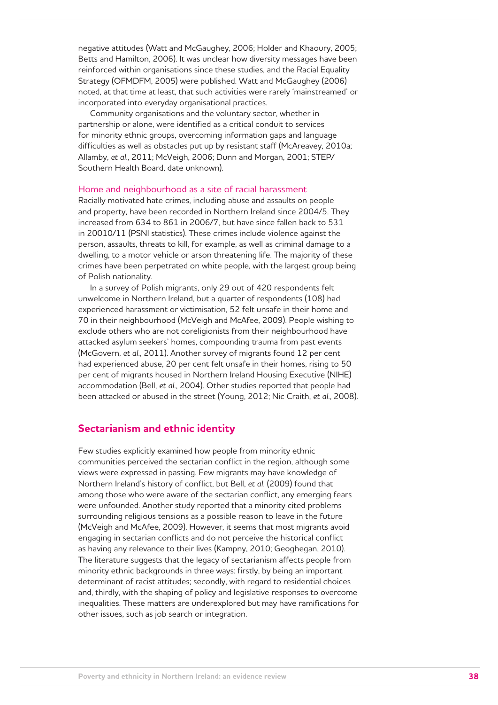negative attitudes (Watt and McGaughey, 2006; Holder and Khaoury, 2005; Betts and Hamilton, 2006). It was unclear how diversity messages have been reinforced within organisations since these studies, and the Racial Equality Strategy (OFMDFM, 2005) were published. Watt and McGaughey (2006) noted, at that time at least, that such activities were rarely 'mainstreamed' or incorporated into everyday organisational practices.

Community organisations and the voluntary sector, whether in partnership or alone, were identified as a critical conduit to services for minority ethnic groups, overcoming information gaps and language difficulties as well as obstacles put up by resistant staff (McAreavey, 2010a; Allamby, *et al*., 2011; McVeigh, 2006; Dunn and Morgan, 2001; STEP/ Southern Health Board, date unknown).

#### Home and neighbourhood as a site of racial harassment

Racially motivated hate crimes, including abuse and assaults on people and property, have been recorded in Northern Ireland since 2004/5. They increased from 634 to 861 in 2006/7, but have since fallen back to 531 in 20010/11 (PSNI statistics). These crimes include violence against the person, assaults, threats to kill, for example, as well as criminal damage to a dwelling, to a motor vehicle or arson threatening life. The majority of these crimes have been perpetrated on white people, with the largest group being of Polish nationality.

In a survey of Polish migrants, only 29 out of 420 respondents felt unwelcome in Northern Ireland, but a quarter of respondents (108) had experienced harassment or victimisation, 52 felt unsafe in their home and 70 in their neighbourhood (McVeigh and McAfee, 2009). People wishing to exclude others who are not coreligionists from their neighbourhood have attacked asylum seekers' homes, compounding trauma from past events (McGovern, *et al*., 2011). Another survey of migrants found 12 per cent had experienced abuse, 20 per cent felt unsafe in their homes, rising to 50 per cent of migrants housed in Northern Ireland Housing Executive (NIHE) accommodation (Bell, *et al*., 2004). Other studies reported that people had been attacked or abused in the street (Young, 2012; Nic Craith, *et al*., 2008).

## **Sectarianism and ethnic identity**

Few studies explicitly examined how people from minority ethnic communities perceived the sectarian conflict in the region, although some views were expressed in passing. Few migrants may have knowledge of Northern Ireland's history of conflict, but Bell, *et al*. (2009) found that among those who were aware of the sectarian conflict, any emerging fears were unfounded. Another study reported that a minority cited problems surrounding religious tensions as a possible reason to leave in the future (McVeigh and McAfee, 2009). However, it seems that most migrants avoid engaging in sectarian conflicts and do not perceive the historical conflict as having any relevance to their lives (Kampny, 2010; Geoghegan, 2010). The literature suggests that the legacy of sectarianism affects people from minority ethnic backgrounds in three ways: firstly, by being an important determinant of racist attitudes; secondly, with regard to residential choices and, thirdly, with the shaping of policy and legislative responses to overcome inequalities. These matters are underexplored but may have ramifications for other issues, such as job search or integration.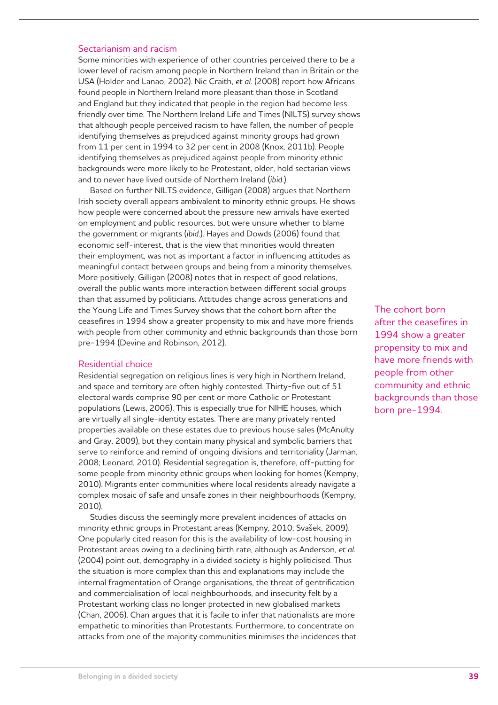#### Sectarianism and racism

Some minorities with experience of other countries perceived there to be a lower level of racism among people in Northern Ireland than in Britain or the USA (Holder and Lanao, 2002). Nic Craith, *et al*. (2008) report how Africans found people in Northern Ireland more pleasant than those in Scotland and England but they indicated that people in the region had become less friendly over time. The Northern Ireland Life and Times (NILTS) survey shows that although people perceived racism to have fallen, the number of people identifying themselves as prejudiced against minority groups had grown from 11 per cent in 1994 to 32 per cent in 2008 (Knox, 2011b). People identifying themselves as prejudiced against people from minority ethnic backgrounds were more likely to be Protestant, older, hold sectarian views and to never have lived outside of Northern Ireland (*ibid*.).

Based on further NILTS evidence, Gilligan (2008) argues that Northern Irish society overall appears ambivalent to minority ethnic groups. He shows how people were concerned about the pressure new arrivals have exerted on employment and public resources, but were unsure whether to blame the government or migrants (*ibid*.). Hayes and Dowds (2006) found that economic self-interest, that is the view that minorities would threaten their employment, was not as important a factor in influencing attitudes as meaningful contact between groups and being from a minority themselves. More positively, Gilligan (2008) notes that in respect of good relations, overall the public wants more interaction between different social groups than that assumed by politicians. Attitudes change across generations and the Young Life and Times Survey shows that the cohort born after the ceasefires in 1994 show a greater propensity to mix and have more friends with people from other community and ethnic backgrounds than those born pre-1994 (Devine and Robinson, 2012).

#### Residential choice

Residential segregation on religious lines is very high in Northern Ireland, and space and territory are often highly contested. Thirty-five out of 51 electoral wards comprise 90 per cent or more Catholic or Protestant populations (Lewis, 2006). This is especially true for NIHE houses, which are virtually all single-identity estates. There are many privately rented properties available on these estates due to previous house sales (McAnulty and Gray, 2009), but they contain many physical and symbolic barriers that serve to reinforce and remind of ongoing divisions and territoriality (Jarman, 2008; Leonard, 2010). Residential segregation is, therefore, off-putting for some people from minority ethnic groups when looking for homes (Kempny, 2010). Migrants enter communities where local residents already navigate a complex mosaic of safe and unsafe zones in their neighbourhoods (Kempny, 2010).

Studies discuss the seemingly more prevalent incidences of attacks on minority ethnic groups in Protestant areas (Kempny, 2010; Svašek, 2009). One popularly cited reason for this is the availability of low-cost housing in Protestant areas owing to a declining birth rate, although as Anderson, *et al*. (2004) point out, demography in a divided society is highly politicised. Thus the situation is more complex than this and explanations may include the internal fragmentation of Orange organisations, the threat of gentrification and commercialisation of local neighbourhoods, and insecurity felt by a Protestant working class no longer protected in new globalised markets (Chan, 2006). Chan argues that it is facile to infer that nationalists are more empathetic to minorities than Protestants. Furthermore, to concentrate on attacks from one of the majority communities minimises the incidences that The cohort born after the ceasefires in 1994 show a greater propensity to mix and have more friends with people from other community and ethnic backgrounds than those born pre-1994.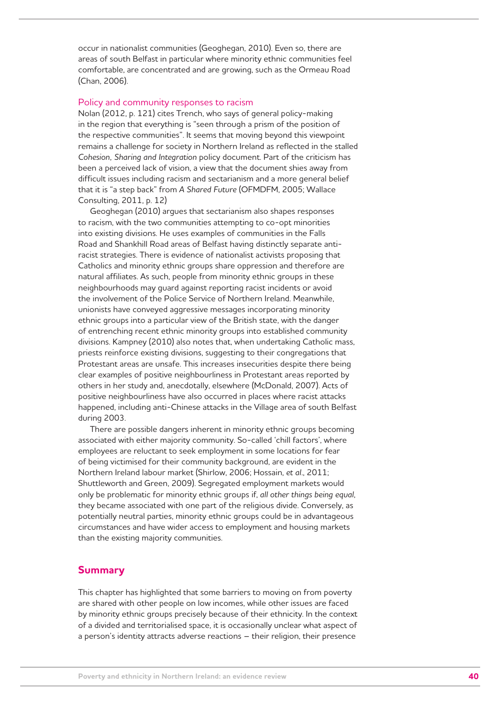occur in nationalist communities (Geoghegan, 2010). Even so, there are areas of south Belfast in particular where minority ethnic communities feel comfortable, are concentrated and are growing, such as the Ormeau Road (Chan, 2006).

#### Policy and community responses to racism

Nolan (2012, p. 121) cites Trench, who says of general policy-making in the region that everything is "seen through a prism of the position of the respective communities". It seems that moving beyond this viewpoint remains a challenge for society in Northern Ireland as reflected in the stalled *Cohesion, Sharing and Integration* policy document. Part of the criticism has been a perceived lack of vision, a view that the document shies away from difficult issues including racism and sectarianism and a more general belief that it is "a step back" from *A Shared Future* (OFMDFM, 2005; Wallace Consulting, 2011, p. 12)

Geoghegan (2010) argues that sectarianism also shapes responses to racism, with the two communities attempting to co-opt minorities into existing divisions. He uses examples of communities in the Falls Road and Shankhill Road areas of Belfast having distinctly separate antiracist strategies. There is evidence of nationalist activists proposing that Catholics and minority ethnic groups share oppression and therefore are natural affiliates. As such, people from minority ethnic groups in these neighbourhoods may guard against reporting racist incidents or avoid the involvement of the Police Service of Northern Ireland. Meanwhile, unionists have conveyed aggressive messages incorporating minority ethnic groups into a particular view of the British state, with the danger of entrenching recent ethnic minority groups into established community divisions. Kampney (2010) also notes that, when undertaking Catholic mass, priests reinforce existing divisions, suggesting to their congregations that Protestant areas are unsafe. This increases insecurities despite there being clear examples of positive neighbourliness in Protestant areas reported by others in her study and, anecdotally, elsewhere (McDonald, 2007). Acts of positive neighbourliness have also occurred in places where racist attacks happened, including anti-Chinese attacks in the Village area of south Belfast during 2003.

There are possible dangers inherent in minority ethnic groups becoming associated with either majority community. So-called 'chill factors', where employees are reluctant to seek employment in some locations for fear of being victimised for their community background, are evident in the Northern Ireland labour market (Shirlow, 2006; Hossain, *et al*., 2011; Shuttleworth and Green, 2009). Segregated employment markets would only be problematic for minority ethnic groups if, *all other things being equal*, they became associated with one part of the religious divide. Conversely, as potentially neutral parties, minority ethnic groups could be in advantageous circumstances and have wider access to employment and housing markets than the existing majority communities.

#### **Summary**

This chapter has highlighted that some barriers to moving on from poverty are shared with other people on low incomes, while other issues are faced by minority ethnic groups precisely because of their ethnicity. In the context of a divided and territorialised space, it is occasionally unclear what aspect of a person's identity attracts adverse reactions – their religion, their presence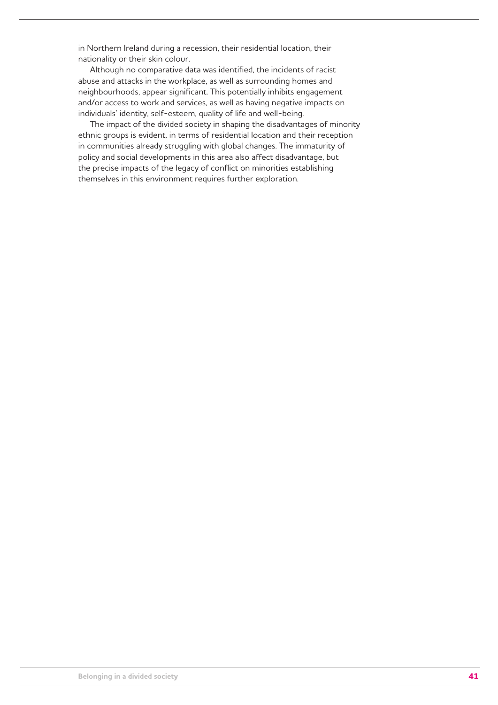in Northern Ireland during a recession, their residential location, their nationality or their skin colour.

Although no comparative data was identified, the incidents of racist abuse and attacks in the workplace, as well as surrounding homes and neighbourhoods, appear significant. This potentially inhibits engagement and/or access to work and services, as well as having negative impacts on individuals' identity, self-esteem, quality of life and well-being.

The impact of the divided society in shaping the disadvantages of minority ethnic groups is evident, in terms of residential location and their reception in communities already struggling with global changes. The immaturity of policy and social developments in this area also affect disadvantage, but the precise impacts of the legacy of conflict on minorities establishing themselves in this environment requires further exploration.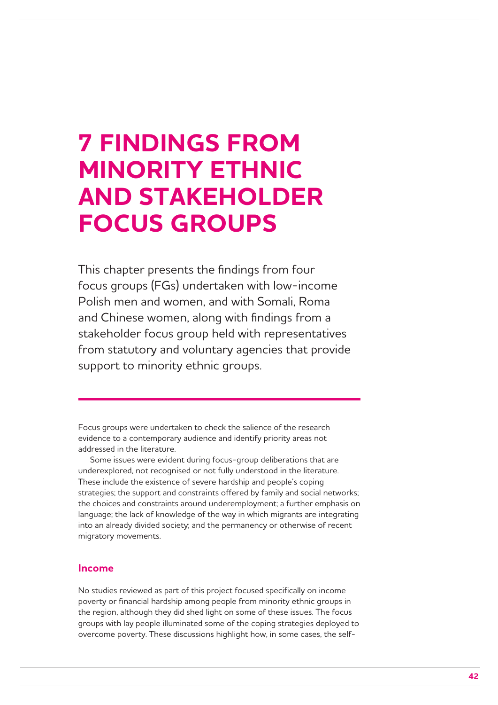## **7 FINDINGS FROM MINORITY ETHNIC AND STAKEHOLDER FOCUS GROUPS**

This chapter presents the findings from four focus groups (FGs) undertaken with low-income Polish men and women, and with Somali, Roma and Chinese women, along with findings from a stakeholder focus group held with representatives from statutory and voluntary agencies that provide support to minority ethnic groups.

Focus groups were undertaken to check the salience of the research evidence to a contemporary audience and identify priority areas not addressed in the literature.

Some issues were evident during focus-group deliberations that are underexplored, not recognised or not fully understood in the literature. These include the existence of severe hardship and people's coping strategies; the support and constraints offered by family and social networks; the choices and constraints around underemployment; a further emphasis on language; the lack of knowledge of the way in which migrants are integrating into an already divided society; and the permanency or otherwise of recent migratory movements.

### **Income**

No studies reviewed as part of this project focused specifically on income poverty or financial hardship among people from minority ethnic groups in the region, although they did shed light on some of these issues. The focus groups with lay people illuminated some of the coping strategies deployed to overcome poverty. These discussions highlight how, in some cases, the self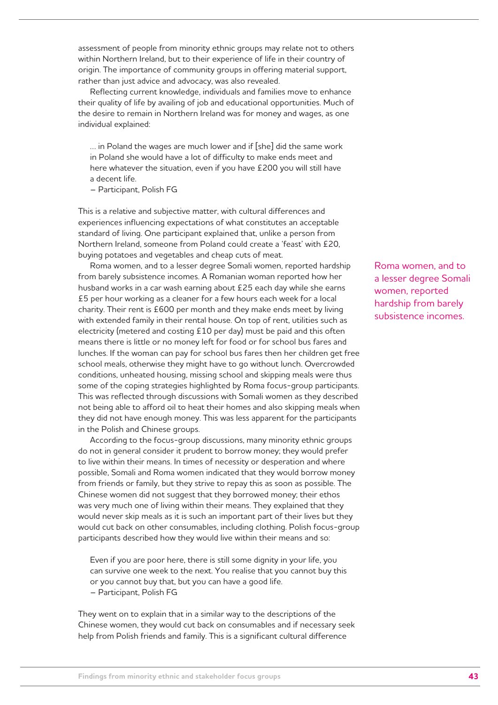assessment of people from minority ethnic groups may relate not to others within Northern Ireland, but to their experience of life in their country of origin. The importance of community groups in offering material support, rather than just advice and advocacy, was also revealed.

Reflecting current knowledge, individuals and families move to enhance their quality of life by availing of job and educational opportunities. Much of the desire to remain in Northern Ireland was for money and wages, as one individual explained:

… in Poland the wages are much lower and if [she] did the same work in Poland she would have a lot of difficulty to make ends meet and here whatever the situation, even if you have £200 you will still have a decent life.

– Participant, Polish FG

This is a relative and subjective matter, with cultural differences and experiences influencing expectations of what constitutes an acceptable standard of living. One participant explained that, unlike a person from Northern Ireland, someone from Poland could create a 'feast' with £20, buying potatoes and vegetables and cheap cuts of meat.

Roma women, and to a lesser degree Somali women, reported hardship from barely subsistence incomes. A Romanian woman reported how her husband works in a car wash earning about £25 each day while she earns £5 per hour working as a cleaner for a few hours each week for a local charity. Their rent is £600 per month and they make ends meet by living with extended family in their rental house. On top of rent, utilities such as electricity (metered and costing £10 per day) must be paid and this often means there is little or no money left for food or for school bus fares and lunches. If the woman can pay for school bus fares then her children get free school meals, otherwise they might have to go without lunch. Overcrowded conditions, unheated housing, missing school and skipping meals were thus some of the coping strategies highlighted by Roma focus-group participants. This was reflected through discussions with Somali women as they described not being able to afford oil to heat their homes and also skipping meals when they did not have enough money. This was less apparent for the participants in the Polish and Chinese groups.

According to the focus-group discussions, many minority ethnic groups do not in general consider it prudent to borrow money; they would prefer to live within their means. In times of necessity or desperation and where possible, Somali and Roma women indicated that they would borrow money from friends or family, but they strive to repay this as soon as possible. The Chinese women did not suggest that they borrowed money; their ethos was very much one of living within their means. They explained that they would never skip meals as it is such an important part of their lives but they would cut back on other consumables, including clothing. Polish focus-group participants described how they would live within their means and so:

Even if you are poor here, there is still some dignity in your life, you can survive one week to the next. You realise that you cannot buy this or you cannot buy that, but you can have a good life. – Participant, Polish FG

They went on to explain that in a similar way to the descriptions of the Chinese women, they would cut back on consumables and if necessary seek help from Polish friends and family. This is a significant cultural difference

Roma women, and to a lesser degree Somali women, reported hardship from barely subsistence incomes.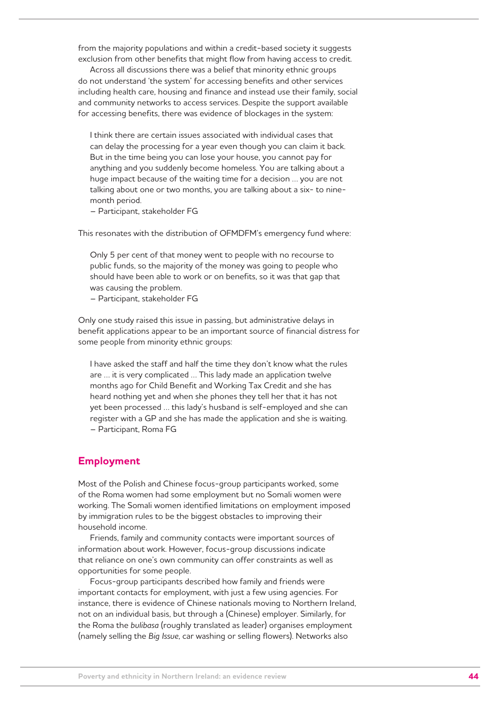from the majority populations and within a credit-based society it suggests exclusion from other benefits that might flow from having access to credit.

Across all discussions there was a belief that minority ethnic groups do not understand 'the system' for accessing benefits and other services including health care, housing and finance and instead use their family, social and community networks to access services. Despite the support available for accessing benefits, there was evidence of blockages in the system:

I think there are certain issues associated with individual cases that can delay the processing for a year even though you can claim it back. But in the time being you can lose your house, you cannot pay for anything and you suddenly become homeless. You are talking about a huge impact because of the waiting time for a decision … you are not talking about one or two months, you are talking about a six- to ninemonth period.

– Participant, stakeholder FG

This resonates with the distribution of OFMDFM's emergency fund where:

Only 5 per cent of that money went to people with no recourse to public funds, so the majority of the money was going to people who should have been able to work or on benefits, so it was that gap that was causing the problem.

– Participant, stakeholder FG

Only one study raised this issue in passing, but administrative delays in benefit applications appear to be an important source of financial distress for some people from minority ethnic groups:

I have asked the staff and half the time they don't know what the rules are … it is very complicated … This lady made an application twelve months ago for Child Benefit and Working Tax Credit and she has heard nothing yet and when she phones they tell her that it has not yet been processed … this lady's husband is self-employed and she can register with a GP and she has made the application and she is waiting. – Participant, Roma FG

#### **Employment**

Most of the Polish and Chinese focus-group participants worked, some of the Roma women had some employment but no Somali women were working. The Somali women identified limitations on employment imposed by immigration rules to be the biggest obstacles to improving their household income.

Friends, family and community contacts were important sources of information about work. However, focus-group discussions indicate that reliance on one's own community can offer constraints as well as opportunities for some people.

Focus-group participants described how family and friends were important contacts for employment, with just a few using agencies. For instance, there is evidence of Chinese nationals moving to Northern Ireland, not on an individual basis, but through a (Chinese) employer. Similarly, for the Roma the *bulibasa* (roughly translated as leader) organises employment (namely selling the *Big Issue*, car washing or selling flowers). Networks also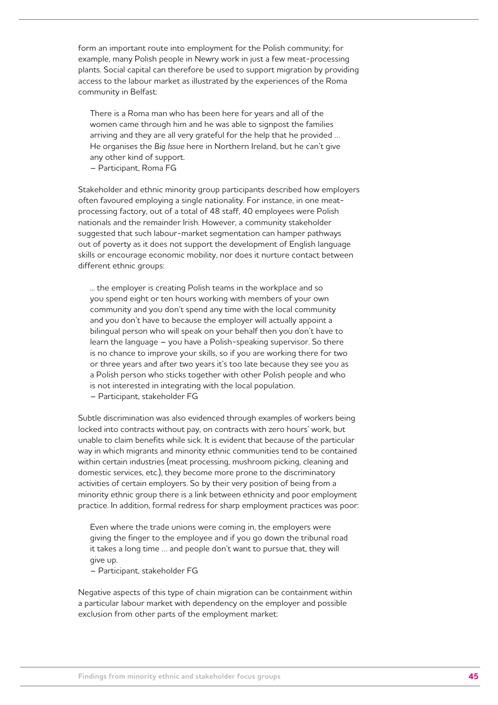form an important route into employment for the Polish community; for example, many Polish people in Newry work in just a few meat-processing plants. Social capital can therefore be used to support migration by providing access to the labour market as illustrated by the experiences of the Roma community in Belfast:

There is a Roma man who has been here for years and all of the women came through him and he was able to signpost the families arriving and they are all very grateful for the help that he provided … He organises the *Big Issue* here in Northern Ireland, but he can't give any other kind of support.

– Participant, Roma FG

Stakeholder and ethnic minority group participants described how employers often favoured employing a single nationality. For instance, in one meatprocessing factory, out of a total of 48 staff, 40 employees were Polish nationals and the remainder Irish. However, a community stakeholder suggested that such labour-market segmentation can hamper pathways out of poverty as it does not support the development of English language skills or encourage economic mobility, nor does it nurture contact between different ethnic groups:

... the employer is creating Polish teams in the workplace and so you spend eight or ten hours working with members of your own community and you don't spend any time with the local community and you don't have to because the employer will actually appoint a bilingual person who will speak on your behalf then you don't have to learn the language – you have a Polish-speaking supervisor. So there is no chance to improve your skills, so if you are working there for two or three years and after two years it's too late because they see you as a Polish person who sticks together with other Polish people and who is not interested in integrating with the local population.

– Participant, stakeholder FG

Subtle discrimination was also evidenced through examples of workers being locked into contracts without pay, on contracts with zero hours' work, but unable to claim benefits while sick. It is evident that because of the particular way in which migrants and minority ethnic communities tend to be contained within certain industries (meat processing, mushroom picking, cleaning and domestic services, etc.), they become more prone to the discriminatory activities of certain employers. So by their very position of being from a minority ethnic group there is a link between ethnicity and poor employment practice. In addition, formal redress for sharp employment practices was poor:

Even where the trade unions were coming in, the employers were giving the finger to the employee and if you go down the tribunal road it takes a long time … and people don't want to pursue that, they will give up.

– Participant, stakeholder FG

Negative aspects of this type of chain migration can be containment within a particular labour market with dependency on the employer and possible exclusion from other parts of the employment market: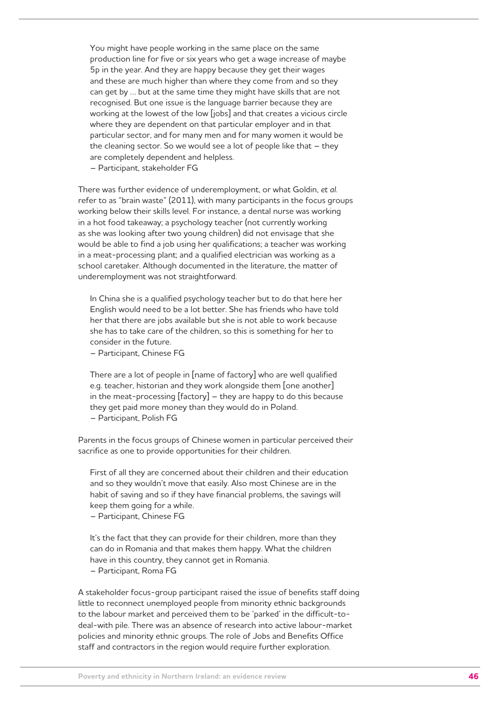You might have people working in the same place on the same production line for five or six years who get a wage increase of maybe 5p in the year. And they are happy because they get their wages and these are much higher than where they come from and so they can get by … but at the same time they might have skills that are not recognised. But one issue is the language barrier because they are working at the lowest of the low [jobs] and that creates a vicious circle where they are dependent on that particular employer and in that particular sector, and for many men and for many women it would be the cleaning sector. So we would see a lot of people like that  $-$  they are completely dependent and helpless.

– Participant, stakeholder FG

There was further evidence of underemployment, or what Goldin, *et al*. refer to as "brain waste" (2011), with many participants in the focus groups working below their skills level. For instance, a dental nurse was working in a hot food takeaway; a psychology teacher (not currently working as she was looking after two young children) did not envisage that she would be able to find a job using her qualifications; a teacher was working in a meat-processing plant; and a qualified electrician was working as a school caretaker. Although documented in the literature, the matter of underemployment was not straightforward.

In China she is a qualified psychology teacher but to do that here her English would need to be a lot better. She has friends who have told her that there are jobs available but she is not able to work because she has to take care of the children, so this is something for her to consider in the future.

– Participant, Chinese FG

There are a lot of people in [name of factory] who are well qualified e.g. teacher, historian and they work alongside them [one another] in the meat-processing [factory] – they are happy to do this because they get paid more money than they would do in Poland. – Participant, Polish FG

Parents in the focus groups of Chinese women in particular perceived their sacrifice as one to provide opportunities for their children.

First of all they are concerned about their children and their education and so they wouldn't move that easily. Also most Chinese are in the habit of saving and so if they have financial problems, the savings will keep them going for a while.

– Participant, Chinese FG

It's the fact that they can provide for their children, more than they can do in Romania and that makes them happy. What the children have in this country, they cannot get in Romania. – Participant, Roma FG

policies and minority ethnic groups. The role of Jobs and Benefits Office staff and contractors in the region would require further exploration.

A stakeholder focus-group participant raised the issue of benefits staff doing little to reconnect unemployed people from minority ethnic backgrounds to the labour market and perceived them to be 'parked' in the difficult-todeal-with pile. There was an absence of research into active labour-market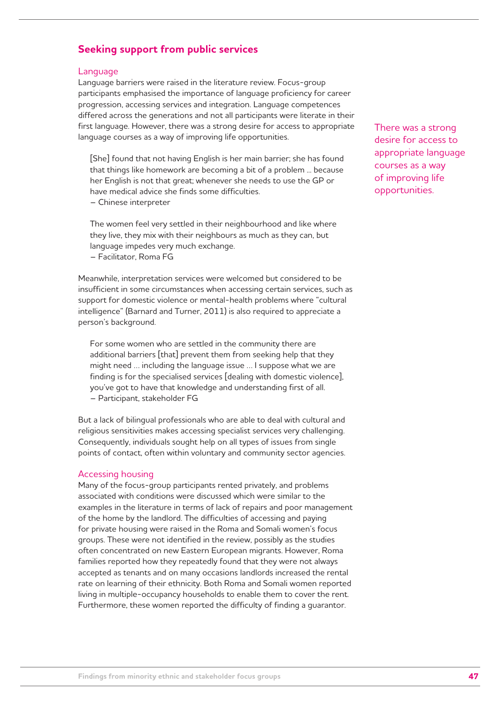## **Seeking support from public services**

#### Language

Language barriers were raised in the literature review. Focus-group participants emphasised the importance of language proficiency for career progression, accessing services and integration. Language competences differed across the generations and not all participants were literate in their first language. However, there was a strong desire for access to appropriate language courses as a way of improving life opportunities.

[She] found that not having English is her main barrier; she has found that things like homework are becoming a bit of a problem ... because her English is not that great; whenever she needs to use the GP or have medical advice she finds some difficulties.

– Chinese interpreter

The women feel very settled in their neighbourhood and like where they live, they mix with their neighbours as much as they can, but language impedes very much exchange.

– Facilitator, Roma FG

Meanwhile, interpretation services were welcomed but considered to be insufficient in some circumstances when accessing certain services, such as support for domestic violence or mental-health problems where "cultural intelligence" (Barnard and Turner, 2011) is also required to appreciate a person's background.

For some women who are settled in the community there are additional barriers [that] prevent them from seeking help that they might need … including the language issue … I suppose what we are finding is for the specialised services [dealing with domestic violence], you've got to have that knowledge and understanding first of all. – Participant, stakeholder FG

But a lack of bilingual professionals who are able to deal with cultural and religious sensitivities makes accessing specialist services very challenging. Consequently, individuals sought help on all types of issues from single points of contact, often within voluntary and community sector agencies.

#### Accessing housing

Many of the focus-group participants rented privately, and problems associated with conditions were discussed which were similar to the examples in the literature in terms of lack of repairs and poor management of the home by the landlord. The difficulties of accessing and paying for private housing were raised in the Roma and Somali women's focus groups. These were not identified in the review, possibly as the studies often concentrated on new Eastern European migrants. However, Roma families reported how they repeatedly found that they were not always accepted as tenants and on many occasions landlords increased the rental rate on learning of their ethnicity. Both Roma and Somali women reported living in multiple-occupancy households to enable them to cover the rent. Furthermore, these women reported the difficulty of finding a guarantor.

There was a strong desire for access to appropriate language courses as a way of improving life opportunities.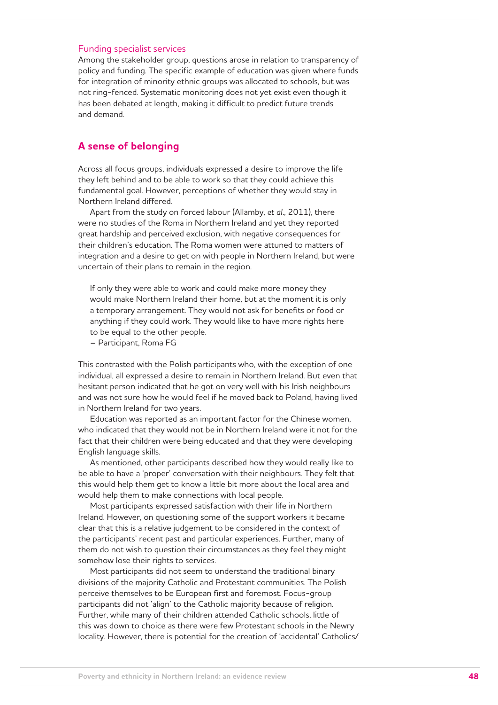#### Funding specialist services

Among the stakeholder group, questions arose in relation to transparency of policy and funding. The specific example of education was given where funds for integration of minority ethnic groups was allocated to schools, but was not ring-fenced. Systematic monitoring does not yet exist even though it has been debated at length, making it difficult to predict future trends and demand.

### **A sense of belonging**

Across all focus groups, individuals expressed a desire to improve the life they left behind and to be able to work so that they could achieve this fundamental goal. However, perceptions of whether they would stay in Northern Ireland differed.

Apart from the study on forced labour (Allamby, *et al*., 2011), there were no studies of the Roma in Northern Ireland and yet they reported great hardship and perceived exclusion, with negative consequences for their children's education. The Roma women were attuned to matters of integration and a desire to get on with people in Northern Ireland, but were uncertain of their plans to remain in the region.

If only they were able to work and could make more money they would make Northern Ireland their home, but at the moment it is only a temporary arrangement. They would not ask for benefits or food or anything if they could work. They would like to have more rights here to be equal to the other people.

– Participant, Roma FG

This contrasted with the Polish participants who, with the exception of one individual, all expressed a desire to remain in Northern Ireland. But even that hesitant person indicated that he got on very well with his Irish neighbours and was not sure how he would feel if he moved back to Poland, having lived in Northern Ireland for two years.

Education was reported as an important factor for the Chinese women, who indicated that they would not be in Northern Ireland were it not for the fact that their children were being educated and that they were developing English language skills.

As mentioned, other participants described how they would really like to be able to have a 'proper' conversation with their neighbours. They felt that this would help them get to know a little bit more about the local area and would help them to make connections with local people.

Most participants expressed satisfaction with their life in Northern Ireland. However, on questioning some of the support workers it became clear that this is a relative judgement to be considered in the context of the participants' recent past and particular experiences. Further, many of them do not wish to question their circumstances as they feel they might somehow lose their rights to services.

Most participants did not seem to understand the traditional binary divisions of the majority Catholic and Protestant communities. The Polish perceive themselves to be European first and foremost. Focus-group participants did not 'align' to the Catholic majority because of religion. Further, while many of their children attended Catholic schools, little of this was down to choice as there were few Protestant schools in the Newry locality. However, there is potential for the creation of 'accidental' Catholics/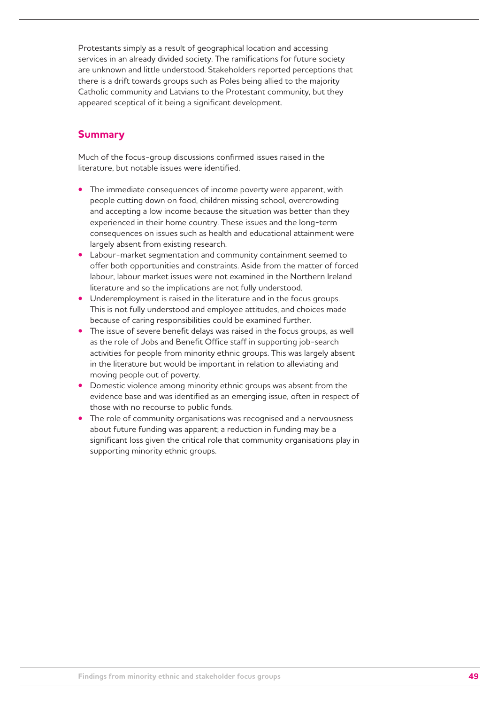Protestants simply as a result of geographical location and accessing services in an already divided society. The ramifications for future society are unknown and little understood. Stakeholders reported perceptions that there is a drift towards groups such as Poles being allied to the majority Catholic community and Latvians to the Protestant community, but they appeared sceptical of it being a significant development.

## **Summary**

Much of the focus-group discussions confirmed issues raised in the literature, but notable issues were identified.

- The immediate consequences of income poverty were apparent, with people cutting down on food, children missing school, overcrowding and accepting a low income because the situation was better than they experienced in their home country. These issues and the long-term consequences on issues such as health and educational attainment were largely absent from existing research.
- **•**  Labour-market segmentation and community containment seemed to offer both opportunities and constraints. Aside from the matter of forced labour, labour market issues were not examined in the Northern Ireland literature and so the implications are not fully understood.
- Underemployment is raised in the literature and in the focus groups. This is not fully understood and employee attitudes, and choices made because of caring responsibilities could be examined further.
- The issue of severe benefit delays was raised in the focus groups, as well as the role of Jobs and Benefit Office staff in supporting job-search activities for people from minority ethnic groups. This was largely absent in the literature but would be important in relation to alleviating and moving people out of poverty.
- Domestic violence among minority ethnic groups was absent from the evidence base and was identified as an emerging issue, often in respect of those with no recourse to public funds.
- The role of community organisations was recognised and a nervousness about future funding was apparent; a reduction in funding may be a significant loss given the critical role that community organisations play in supporting minority ethnic groups.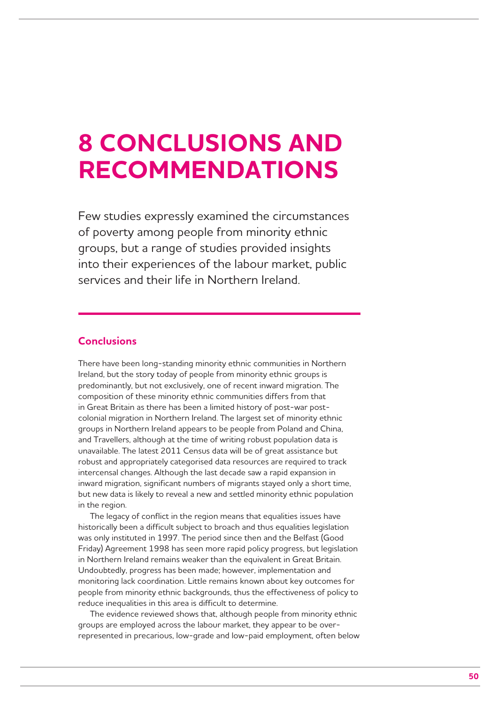## **8 CONCLUSIONS AND RECOMMENDATIONS**

Few studies expressly examined the circumstances of poverty among people from minority ethnic groups, but a range of studies provided insights into their experiences of the labour market, public services and their life in Northern Ireland.

## **Conclusions**

There have been long-standing minority ethnic communities in Northern Ireland, but the story today of people from minority ethnic groups is predominantly, but not exclusively, one of recent inward migration. The composition of these minority ethnic communities differs from that in Great Britain as there has been a limited history of post-war postcolonial migration in Northern Ireland. The largest set of minority ethnic groups in Northern Ireland appears to be people from Poland and China, and Travellers, although at the time of writing robust population data is unavailable. The latest 2011 Census data will be of great assistance but robust and appropriately categorised data resources are required to track intercensal changes. Although the last decade saw a rapid expansion in inward migration, significant numbers of migrants stayed only a short time, but new data is likely to reveal a new and settled minority ethnic population in the region.

The legacy of conflict in the region means that equalities issues have historically been a difficult subject to broach and thus equalities legislation was only instituted in 1997. The period since then and the Belfast (Good Friday) Agreement 1998 has seen more rapid policy progress, but legislation in Northern Ireland remains weaker than the equivalent in Great Britain. Undoubtedly, progress has been made; however, implementation and monitoring lack coordination. Little remains known about key outcomes for people from minority ethnic backgrounds, thus the effectiveness of policy to reduce inequalities in this area is difficult to determine.

The evidence reviewed shows that, although people from minority ethnic groups are employed across the labour market, they appear to be overrepresented in precarious, low-grade and low-paid employment, often below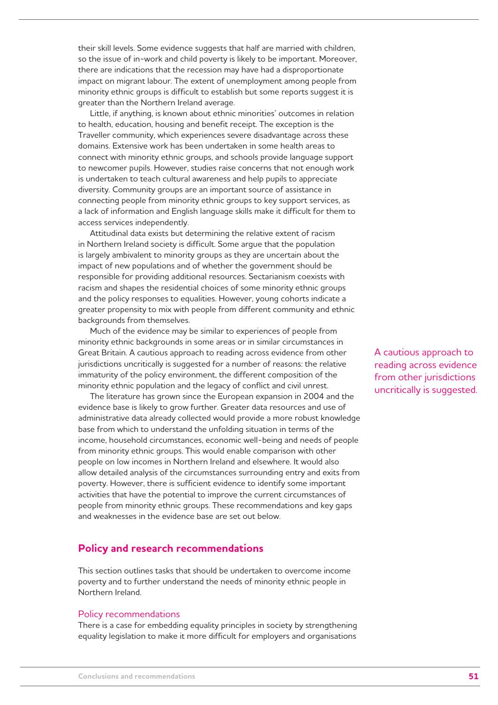their skill levels. Some evidence suggests that half are married with children, so the issue of in-work and child poverty is likely to be important. Moreover, there are indications that the recession may have had a disproportionate impact on migrant labour. The extent of unemployment among people from minority ethnic groups is difficult to establish but some reports suggest it is greater than the Northern Ireland average.

Little, if anything, is known about ethnic minorities' outcomes in relation to health, education, housing and benefit receipt. The exception is the Traveller community, which experiences severe disadvantage across these domains. Extensive work has been undertaken in some health areas to connect with minority ethnic groups, and schools provide language support to newcomer pupils. However, studies raise concerns that not enough work is undertaken to teach cultural awareness and help pupils to appreciate diversity. Community groups are an important source of assistance in connecting people from minority ethnic groups to key support services, as a lack of information and English language skills make it difficult for them to access services independently.

Attitudinal data exists but determining the relative extent of racism in Northern Ireland society is difficult. Some argue that the population is largely ambivalent to minority groups as they are uncertain about the impact of new populations and of whether the government should be responsible for providing additional resources. Sectarianism coexists with racism and shapes the residential choices of some minority ethnic groups and the policy responses to equalities. However, young cohorts indicate a greater propensity to mix with people from different community and ethnic backgrounds from themselves.

Much of the evidence may be similar to experiences of people from minority ethnic backgrounds in some areas or in similar circumstances in Great Britain. A cautious approach to reading across evidence from other jurisdictions uncritically is suggested for a number of reasons: the relative immaturity of the policy environment, the different composition of the minority ethnic population and the legacy of conflict and civil unrest.

The literature has grown since the European expansion in 2004 and the evidence base is likely to grow further. Greater data resources and use of administrative data already collected would provide a more robust knowledge base from which to understand the unfolding situation in terms of the income, household circumstances, economic well-being and needs of people from minority ethnic groups. This would enable comparison with other people on low incomes in Northern Ireland and elsewhere. It would also allow detailed analysis of the circumstances surrounding entry and exits from poverty. However, there is sufficient evidence to identify some important activities that have the potential to improve the current circumstances of people from minority ethnic groups. These recommendations and key gaps and weaknesses in the evidence base are set out below.

## **Policy and research recommendations**

This section outlines tasks that should be undertaken to overcome income poverty and to further understand the needs of minority ethnic people in Northern Ireland.

#### Policy recommendations

There is a case for embedding equality principles in society by strengthening equality legislation to make it more difficult for employers and organisations

A cautious approach to reading across evidence from other jurisdictions uncritically is suggested.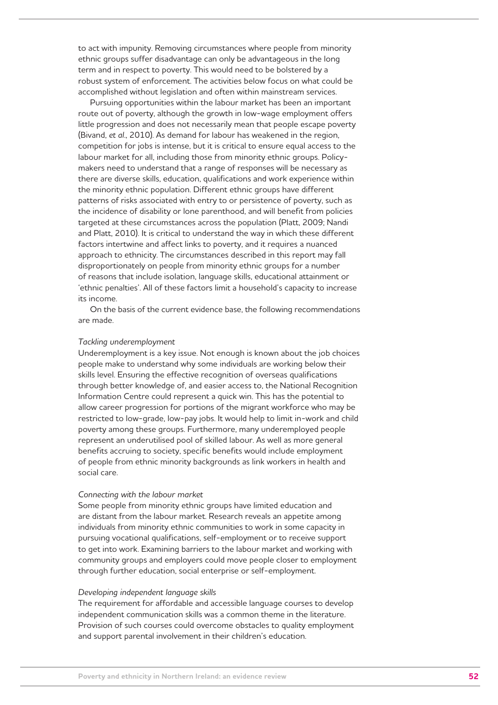to act with impunity. Removing circumstances where people from minority ethnic groups suffer disadvantage can only be advantageous in the long term and in respect to poverty. This would need to be bolstered by a robust system of enforcement. The activities below focus on what could be accomplished without legislation and often within mainstream services.

Pursuing opportunities within the labour market has been an important route out of poverty, although the growth in low-wage employment offers little progression and does not necessarily mean that people escape poverty (Bivand, *et al*., 2010). As demand for labour has weakened in the region, competition for jobs is intense, but it is critical to ensure equal access to the labour market for all, including those from minority ethnic groups. Policymakers need to understand that a range of responses will be necessary as there are diverse skills, education, qualifications and work experience within the minority ethnic population. Different ethnic groups have different patterns of risks associated with entry to or persistence of poverty, such as the incidence of disability or lone parenthood, and will benefit from policies targeted at these circumstances across the population (Platt, 2009; Nandi and Platt, 2010). It is critical to understand the way in which these different factors intertwine and affect links to poverty, and it requires a nuanced approach to ethnicity. The circumstances described in this report may fall disproportionately on people from minority ethnic groups for a number of reasons that include isolation, language skills, educational attainment or 'ethnic penalties'. All of these factors limit a household's capacity to increase its income.

On the basis of the current evidence base, the following recommendations are made.

#### *Tackling underemployment*

Underemployment is a key issue. Not enough is known about the job choices people make to understand why some individuals are working below their skills level. Ensuring the effective recognition of overseas qualifications through better knowledge of, and easier access to, the National Recognition Information Centre could represent a quick win. This has the potential to allow career progression for portions of the migrant workforce who may be restricted to low-grade, low-pay jobs. It would help to limit in-work and child poverty among these groups. Furthermore, many underemployed people represent an underutilised pool of skilled labour. As well as more general benefits accruing to society, specific benefits would include employment of people from ethnic minority backgrounds as link workers in health and social care.

#### *Connecting with the labour market*

Some people from minority ethnic groups have limited education and are distant from the labour market. Research reveals an appetite among individuals from minority ethnic communities to work in some capacity in pursuing vocational qualifications, self-employment or to receive support to get into work. Examining barriers to the labour market and working with community groups and employers could move people closer to employment through further education, social enterprise or self-employment.

#### *Developing independent language skills*

The requirement for affordable and accessible language courses to develop independent communication skills was a common theme in the literature. Provision of such courses could overcome obstacles to quality employment and support parental involvement in their children's education.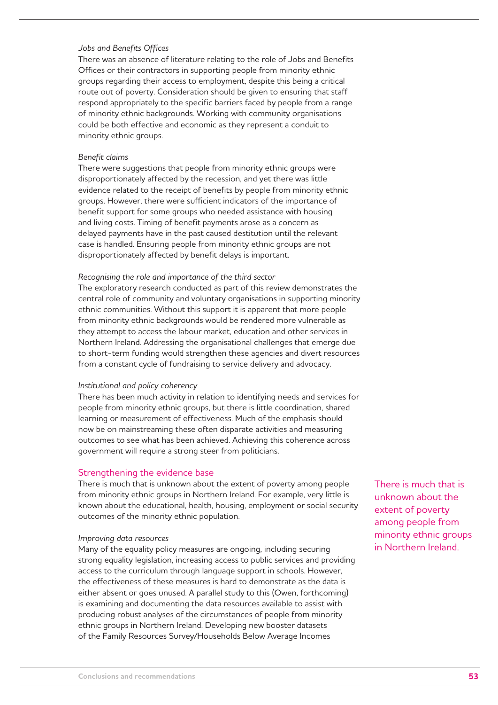#### *Jobs and Benefits Offices*

There was an absence of literature relating to the role of Jobs and Benefits Offices or their contractors in supporting people from minority ethnic groups regarding their access to employment, despite this being a critical route out of poverty. Consideration should be given to ensuring that staff respond appropriately to the specific barriers faced by people from a range of minority ethnic backgrounds. Working with community organisations could be both effective and economic as they represent a conduit to minority ethnic groups.

#### *Benefit claims*

There were suggestions that people from minority ethnic groups were disproportionately affected by the recession, and yet there was little evidence related to the receipt of benefits by people from minority ethnic groups. However, there were sufficient indicators of the importance of benefit support for some groups who needed assistance with housing and living costs. Timing of benefit payments arose as a concern as delayed payments have in the past caused destitution until the relevant case is handled. Ensuring people from minority ethnic groups are not disproportionately affected by benefit delays is important.

#### *Recognising the role and importance of the third sector*

The exploratory research conducted as part of this review demonstrates the central role of community and voluntary organisations in supporting minority ethnic communities. Without this support it is apparent that more people from minority ethnic backgrounds would be rendered more vulnerable as they attempt to access the labour market, education and other services in Northern Ireland. Addressing the organisational challenges that emerge due to short-term funding would strengthen these agencies and divert resources from a constant cycle of fundraising to service delivery and advocacy.

#### *Institutional and policy coherency*

There has been much activity in relation to identifying needs and services for people from minority ethnic groups, but there is little coordination, shared learning or measurement of effectiveness. Much of the emphasis should now be on mainstreaming these often disparate activities and measuring outcomes to see what has been achieved. Achieving this coherence across government will require a strong steer from politicians.

#### Strengthening the evidence base

There is much that is unknown about the extent of poverty among people from minority ethnic groups in Northern Ireland. For example, very little is known about the educational, health, housing, employment or social security outcomes of the minority ethnic population.

#### *Improving data resources*

Many of the equality policy measures are ongoing, including securing strong equality legislation, increasing access to public services and providing access to the curriculum through language support in schools. However, the effectiveness of these measures is hard to demonstrate as the data is either absent or goes unused. A parallel study to this (Owen, forthcoming) is examining and documenting the data resources available to assist with producing robust analyses of the circumstances of people from minority ethnic groups in Northern Ireland. Developing new booster datasets of the Family Resources Survey/Households Below Average Incomes

There is much that is unknown about the extent of poverty among people from minority ethnic groups in Northern Ireland.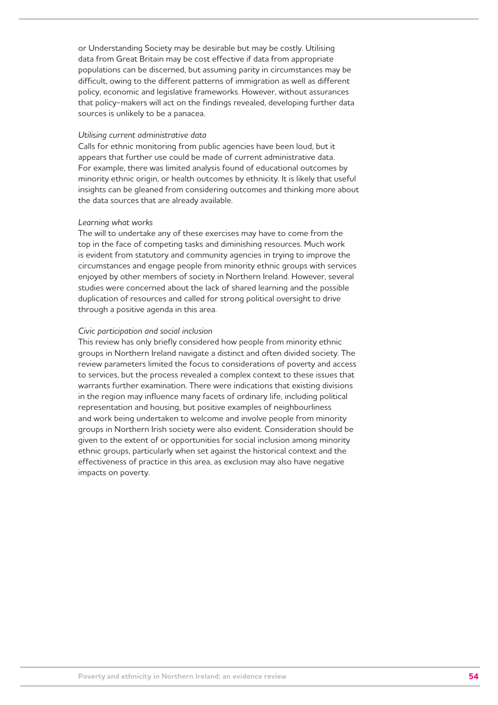or Understanding Society may be desirable but may be costly. Utilising data from Great Britain may be cost effective if data from appropriate populations can be discerned, but assuming parity in circumstances may be difficult, owing to the different patterns of immigration as well as different policy, economic and legislative frameworks. However, without assurances that policy-makers will act on the findings revealed, developing further data sources is unlikely to be a panacea.

#### *Utilising current administrative data*

Calls for ethnic monitoring from public agencies have been loud, but it appears that further use could be made of current administrative data. For example, there was limited analysis found of educational outcomes by minority ethnic origin, or health outcomes by ethnicity. It is likely that useful insights can be gleaned from considering outcomes and thinking more about the data sources that are already available.

#### *Learning what works*

The will to undertake any of these exercises may have to come from the top in the face of competing tasks and diminishing resources. Much work is evident from statutory and community agencies in trying to improve the circumstances and engage people from minority ethnic groups with services enjoyed by other members of society in Northern Ireland. However, several studies were concerned about the lack of shared learning and the possible duplication of resources and called for strong political oversight to drive through a positive agenda in this area.

#### *Civic participation and social inclusion*

This review has only briefly considered how people from minority ethnic groups in Northern Ireland navigate a distinct and often divided society. The review parameters limited the focus to considerations of poverty and access to services, but the process revealed a complex context to these issues that warrants further examination. There were indications that existing divisions in the region may influence many facets of ordinary life, including political representation and housing, but positive examples of neighbourliness and work being undertaken to welcome and involve people from minority groups in Northern Irish society were also evident. Consideration should be given to the extent of or opportunities for social inclusion among minority ethnic groups, particularly when set against the historical context and the effectiveness of practice in this area, as exclusion may also have negative impacts on poverty.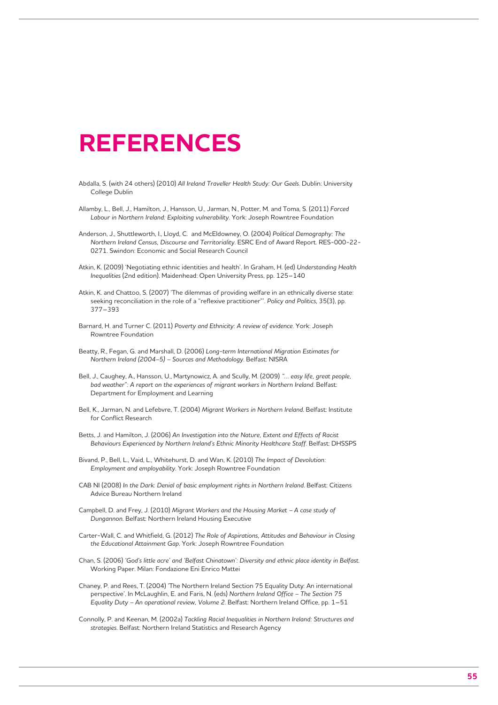## **REFERENCES**

- Abdalla, S. (with 24 others) (2010) *All Ireland Traveller Health Study: Our Geels*. Dublin: University College Dublin
- Allamby, L., Bell, J., Hamilton, J., Hansson, U., Jarman, N., Potter, M. and Toma, S. (2011) *Forced Labour in Northern Ireland: Exploiting vulnerability*. York: Joseph Rowntree Foundation
- Anderson, J., Shuttleworth, I., Lloyd, C. and McEldowney, O. (2004) *Political Demography: The Northern Ireland Census, Discourse and Territoriality*. ESRC End of Award Report. RES-000-22- 0271. Swindon: Economic and Social Research Council
- Atkin, K. (2009) 'Negotiating ethnic identities and health'. In Graham, H. (ed) *Understanding Health Inequalities* (2nd edition). Maidenhead: Open University Press, pp. 125–140
- Atkin, K. and Chattoo, S. (2007) 'The dilemmas of providing welfare in an ethnically diverse state: seeking reconciliation in the role of a "reflexive practitioner"'. *Policy and Politics*, 35(3), pp. 377–393
- Barnard, H. and Turner C. (2011) *Poverty and Ethnicity: A review of evidence*. York: Joseph Rowntree Foundation
- Beatty, R., Fegan, G. and Marshall, D. (2006) *Long-term International Migration Estimates for Northern Ireland (2004–5) – Sources and Methodology*. Belfast: NISRA
- Bell, J., Caughey, A., Hansson, U., Martynowicz, A. and Scully, M. (2009) *"… easy life, great people,*  bad weather": A report on the experiences of migrant workers in Northern Ireland. Belfast: Department for Employment and Learning
- Bell, K., Jarman, N. and Lefebvre, T. (2004) *Migrant Workers in Northern Ireland*. Belfast: Institute for Conflict Research
- Betts, J. and Hamilton, J. (2006) *An Investigation into the Nature, Extent and Effects of Racist Behaviours Experienced by Northern Ireland's Ethnic Minority Healthcare Staff*. Belfast: DHSSPS
- Bivand, P., Bell, L., Vaid, L., Whitehurst, D. and Wan, K. (2010) *The Impact of Devolution: Employment and employability*. York: Joseph Rowntree Foundation
- CAB NI (2008) *In the Dark: Denial of basic employment rights in Northern Ireland*. Belfast: Citizens Advice Bureau Northern Ireland
- Campbell, D. and Frey, J. (2010) *Migrant Workers and the Housing Market A case study of Dungannon*. Belfast: Northern Ireland Housing Executive
- Carter-Wall, C. and Whitfield, G. (2012) *The Role of Aspirations, Attitudes and Behaviour in Closing the Educational Attainment Gap*. York: Joseph Rowntree Foundation
- Chan, S. (2006) *'God's little acre' and 'Belfast Chinatown': Diversity and ethnic place identity in Belfast*. Working Paper. Milan: Fondazione Eni Enrico Mattei
- Chaney, P. and Rees, T. (2004) 'The Northern Ireland Section 75 Equality Duty: An international perspective'. In McLaughlin, E. and Faris, N. (eds) *Northern Ireland Office – The Section 75 Equality Duty – An operational review, Volume 2*. Belfast: Northern Ireland Office, pp. 1–51
- Connolly, P. and Keenan, M. (2002a) *Tackling Racial Inequalities in Northern Ireland: Structures and strategies*. Belfast: Northern Ireland Statistics and Research Agency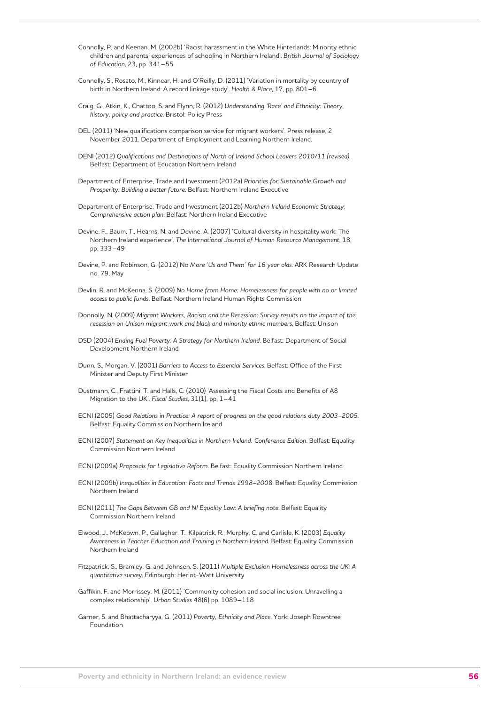- Connolly, P. and Keenan, M. (2002b) 'Racist harassment in the White Hinterlands: Minority ethnic children and parents' experiences of schooling in Northern Ireland'. *British Journal of Sociology of Education*, 23, pp. 341–55
- Connolly, S., Rosato, M., Kinnear, H. and O'Reilly, D. (2011) 'Variation in mortality by country of birth in Northern Ireland: A record linkage study'. *Health & Place*, 17, pp. 801–6
- Craig, G., Atkin, K., Chattoo, S. and Flynn, R. (2012) *Understanding 'Race' and Ethnicity: Theory, history, policy and practice*. Bristol: Policy Press
- DEL (2011) 'New qualifications comparison service for migrant workers'. Press release, 2 November 2011. Department of Employment and Learning Northern Ireland.
- DENI (2012) *Qualifications and Destinations of North of Ireland School Leavers 2010/11 (revised)*. Belfast: Department of Education Northern Ireland
- Department of Enterprise, Trade and Investment (2012a) *Priorities for Sustainable Growth and Prosperity: Building a better future*. Belfast: Northern Ireland Executive
- Department of Enterprise, Trade and Investment (2012b) *Northern Ireland Economic Strategy: Comprehensive action plan*. Belfast: Northern Ireland Executive
- Devine, F., Baum, T., Hearns, N. and Devine, A. (2007) 'Cultural diversity in hospitality work: The Northern Ireland experience'. *The International Journal of Human Resource Management*, 18, pp. 333–49
- Devine, P. and Robinson, G. (2012) N*o More 'Us and Them' for 16 year olds*. ARK Research Update no. 79, May
- Devlin, R. and McKenna, S. (2009) *No Home from Home: Homelessness for people with no or limited access to public funds*. Belfast: Northern Ireland Human Rights Commission
- Donnolly, N. (2009) *Migrant Workers, Racism and the Recession: Survey results on the impact of the recession on Unison migrant work and black and minority ethnic members*. Belfast: Unison
- DSD (2004) *Ending Fuel Poverty: A Strategy for Northern Ireland*. Belfast: Department of Social Development Northern Ireland
- Dunn, S., Morgan, V. (2001) *Barriers to Access to Essential Services*. Belfast: Office of the First Minister and Deputy First Minister
- Dustmann, C., Frattini, T. and Halls, C. (2010) 'Assessing the Fiscal Costs and Benefits of A8 Migration to the UK'. *Fiscal Studies*, 31(1), pp. 1–41
- ECNI (2005) *Good Relations in Practice: A report of progress on the good relations duty 2003–2005*. Belfast: Equality Commission Northern Ireland
- ECNI (2007) *Statement on Key Inequalities in Northern Ireland. Conference Edition*. Belfast: Equality Commission Northern Ireland
- ECNI (2009a) *Proposals for Legislative Reform*. Belfast: Equality Commission Northern Ireland
- ECNI (2009b) *Inequalities in Education: Facts and Trends 1998–2008*. Belfast: Equality Commission Northern Ireland
- ECNI (2011) *The Gaps Between GB and NI Equality Law: A briefing note*. Belfast: Equality Commission Northern Ireland
- Elwood, J., McKeown, P., Gallagher, T., Kilpatrick, R., Murphy, C. and Carlisle, K. (2003) *Equality Awareness in Teacher Education and Training in Northern Ireland*. Belfast: Equality Commission Northern Ireland
- Fitzpatrick, S., Bramley, G. and Johnsen, S. (2011) *Multiple Exclusion Homelessness across the UK: A quantitative survey*. Edinburgh: Heriot-Watt University
- Gaffikin, F. and Morrissey, M. (2011) 'Community cohesion and social inclusion: Unravelling a complex relationship'. *Urban Studies* 48(6) pp. 1089–118
- Garner, S. and Bhattacharyya, G. (2011) *Poverty, Ethnicity and Place*. York: Joseph Rowntree Foundation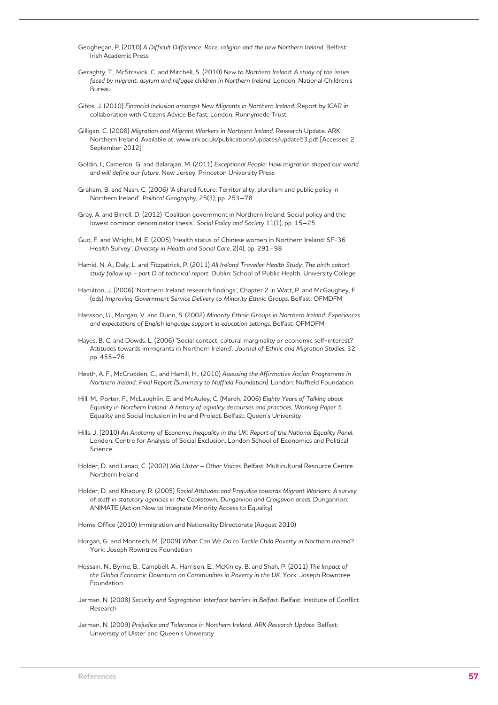- Geoghegan, P. (2010) *A Difficult Difference: Race, religion and the new Northern Ireland*. Belfast: Irish Academic Press
- Geraghty, T., McStravick, C. and Mitchell, S. (2010) *New to Northern Ireland: A study of the issues faced by migrant, asylum and refugee children in Northern Ireland*. London: National Children's Bureau
- Gibbs, J. (2010) *Financial Inclusion amongst New Migrants in Northern Ireland.* Report by ICAR in collaboration with Citizens Advice Belfast. London: Runnymede Trust
- Gilligan, C. (2008) *Migration and Migrant Workers in Northern Ireland*. Research Update. ARK Northern Ireland. Available at: www.ark.ac.uk/publications/updates/update53.pdf [Accessed 2 September 2012]
- Goldin, I., Cameron, G. and Balarajan, M. (2011) *Exceptional People: How migration shaped our world and will define our future*. New Jersey: Princeton University Press
- Graham, B. and Nash, C. (2006) 'A shared future: Territoriality, pluralism and public policy in Northern Ireland'. *Political Geography*, 25(3), pp. 253–78
- Gray, A. and Birrell, D. (2012) 'Coalition government in Northern Ireland: Social policy and the lowest common denominator thesis'. *Social Policy and Society* 11(1), pp. 15–25
- Guo, F. and Wright, M. E. (2005) 'Health status of Chinese women in Northern Ireland: SF-36 Health Survey'. *Diversity in Health and Social Care*, 2(4), pp. 291–98
- Hamid, N. A., Daly, L. and Fitzpatrick, P. (2011) *All Ireland Traveller Health Study: The birth cohort study follow up – part D of technical report*. Dublin: School of Public Health, University College
- Hamilton, J. (2006) 'Northern Ireland research findings', Chapter 2 in Watt, P. and McGaughey, F. (eds) *Improving Government Service Delivery to Minority Ethnic Groups*. Belfast: OFMDFM
- Hansson, U., Morgan, V. and Dunn, S. (2002) *Minority Ethnic Groups in Northern Ireland: Experiences and expectations of English language support in education settings*. Belfast: OFMDFM
- Hayes, B. C. and Dowds, L. (2006) 'Social contact, cultural marginality or economic self-interest? Attitudes towards immigrants in Northern Ireland'. *Journal of Ethnic and Migration Studies*, 32, pp. 455–76
- Heath, A. F., McCrudden, C., and Hamill, H., (2010) *Assessing the Affirmative Action Programme in Northern Ireland: Final Report (Summary to Nuffield Foundation)*. London: Nuffield Foundation
- Hill, M., Porter, F., McLaughlin, E. and McAuley, C. (March, 2006) *Eighty Years of Talking about Equality in Northern Ireland: A history of equality discourses and practices, Working Paper 5*. Equality and Social Inclusion in Ireland Project. Belfast: Queen's University
- Hills, J. (2010) *An Anatomy of Economic Inequality in the UK: Report of the National Equality Panel*. London: Centre for Analysis of Social Exclusion, London School of Economics and Political Science
- Holder, D. and Lanao, C. (2002) *Mid Ulster Other Voices*. Belfast: Multicultural Resource Centre Northern Ireland
- Holder, D. and Khaoury, R. (2005) *Racial Attitudes and Prejudice towards Migrant Workers: A survey of staff in statutory agencies in the Cookstown, Dungannon and Craigavon areas*. Dungannon: ANIMATE (Action Now to Integrate Minority Access to Equality)
- Home Office (2010) Immigration and Nationality Directorate (August 2010)
- Horgan, G. and Monteith, M. (2009) *What Can We Do to Tackle Child Poverty in Northern Ireland?* York: Joseph Rowntree Foundation
- Hossain, N., Byrne, B., Campbell, A., Harrison, E., McKinley, B. and Shah, P. (2011) *The Impact of the Global Economic Downturn on Communities in Poverty in the UK*. York: Joseph Rowntree Foundation
- Jarman, N. (2008) *Security and Segregation: Interface barriers in Belfast*. Belfast: Institute of Conflict Research
- Jarman, N. (2009) *Prejudice and Tolerance in Northern Ireland, ARK Research Update*. Belfast: University of Ulster and Queen's University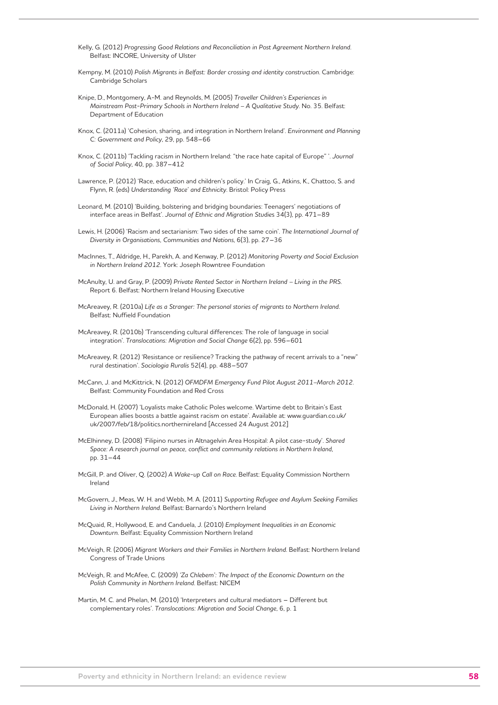- Kelly, G. (2012) *Progressing Good Relations and Reconciliation in Post Agreement Northern Ireland*. Belfast: INCORE, University of Ulster
- Kempny, M. (2010) *Polish Migrants in Belfast: Border crossing and identity construction*. Cambridge: Cambridge Scholars
- Knipe, D., Montgomery, A-M. and Reynolds, M. (2005) *Traveller Children's Experiences in Mainstream Post-Primary Schools in Northern Ireland – A Qualitative Study*. No. 35. Belfast: Department of Education
- Knox, C. (2011a) 'Cohesion, sharing, and integration in Northern Ireland'. *Environment and Planning C: Government and Policy*, 29, pp. 548–66
- Knox, C. (2011b) 'Tackling racism in Northern Ireland: "the race hate capital of Europe" '. *Journal of Social Policy*, 40, pp. 387–412
- Lawrence, P. (2012) 'Race, education and children's policy.' In Craig, G., Atkins, K., Chattoo, S. and Flynn, R. (eds) *Understanding 'Race' and Ethnicity*. Bristol: Policy Press
- Leonard, M. (2010) 'Building, bolstering and bridging boundaries: Teenagers' negotiations of interface areas in Belfast'. *Journal of Ethnic and Migration Studie*s 34(3), pp. 471–89
- Lewis, H. (2006) 'Racism and sectarianism: Two sides of the same coin'. *The International Journal of Diversity in Organisations, Communities and Nations*, 6(3), pp. 27–36
- MacInnes, T., Aldridge, H., Parekh, A. and Kenway, P. (2012) *Monitoring Poverty and Social Exclusion in Northern Ireland 2012*. York: Joseph Rowntree Foundation
- McAnulty, U. and Gray, P. (2009) *Private Rented Sector in Northern Ireland Living in the PRS*. Report 6. Belfast: Northern Ireland Housing Executive
- McAreavey, R. (2010a) *Life as a Stranger: The personal stories of migrants to Northern Ireland*. Belfast: Nuffield Foundation
- McAreavey, R. (2010b) 'Transcending cultural differences: The role of language in social integration'. *Translocations: Migration and Social Change* 6(2), pp. 596–601
- McAreavey, R. (2012) 'Resistance or resilience? Tracking the pathway of recent arrivals to a "new" rural destination'. *Sociologia Ruralis* 52(4), pp. 488–507
- McCann, J. and McKittrick, N. (2012) *OFMDFM Emergency Fund Pilot August 2011–March 2012*. Belfast: Community Foundation and Red Cross
- McDonald, H. (2007) 'Loyalists make Catholic Poles welcome. Wartime debt to Britain's East European allies boosts a battle against racism on estate'. Available at: www.guardian.co.uk/ uk/2007/feb/18/politics.northernireland [Accessed 24 August 2012]
- McElhinney, D. (2008) 'Filipino nurses in Altnagelvin Area Hospital: A pilot case-study'. *Shared Space: A research journal on peace, conflict and community relations in Northern Ireland*, pp. 31–44
- McGill, P. and Oliver, Q. (2002) *A Wake-up Call on Race*. Belfast: Equality Commission Northern Ireland
- McGovern, J., Meas, W. H. and Webb, M. A. (2011) *Supporting Refugee and Asylum Seeking Families Living in Northern Ireland*. Belfast: Barnardo's Northern Ireland
- McQuaid, R., Hollywood, E. and Canduela, J. (2010) *Employment Inequalities in an Economic Downturn*. Belfast: Equality Commission Northern Ireland
- McVeigh, R. (2006) *Migrant Workers and their Families in Northern Ireland*. Belfast: Northern Ireland Congress of Trade Unions
- McVeigh, R. and McAfee, C. (2009) *'Za Chlebem': The Impact of the Economic Downturn on the Polish Community in Northern Ireland*. Belfast: NICEM
- Martin, M. C. and Phelan, M. (2010) 'Interpreters and cultural mediators Different but complementary roles'. *Translocations: Migration and Social Change*, 6, p. 1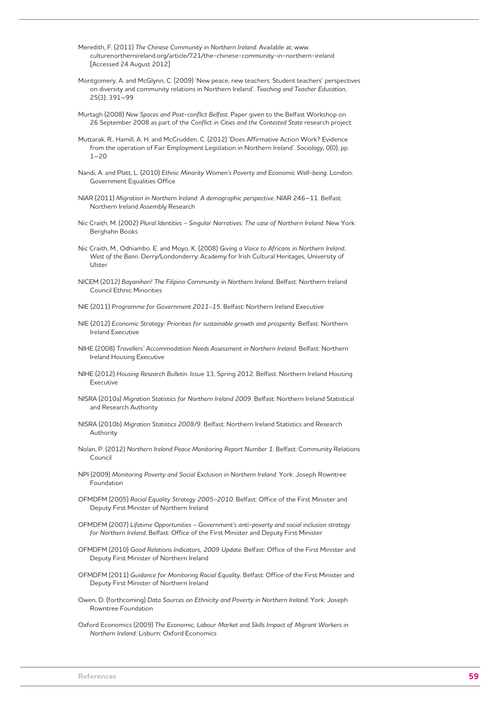- Meredith, F. (2011) *The Chinese Community in Northern Ireland*. Available at: www. culturenorthernireland.org/article/721/the-chinese-community-in-northern-ireland [Accessed 24 August 2012]
- Montgomery, A. and McGlynn, C. (2009) 'New peace, new teachers: Student teachers' perspectives on diversity and community relations in Northern Ireland'. *Teaching and Teacher Education*, 25(3), 391–99
- Murtagh (2008) *New Spaces and Post-conflict Belfast*. Paper given to the Belfast Workshop on 26 September 2008 as part of the *Conflict in Cities and the Contested State* research project
- Muttarak, R., Hamill, A. H. and McCrudden, C. (2012) 'Does Affirmative Action Work? Evidence from the operation of Fair Employment Legislation in Northern Ireland'. *Sociology*, 0(0), pp.  $1 - 20$
- Nandi, A. and Platt, L. (2010) *Ethnic Minority Women's Poverty and Economic Well-being*. London: Government Equalities Office
- NIAR (2011) *Migration in Northern Ireland: A demographic perspective*. NIAR 246–11. Belfast: Northern Ireland Assembly Research
- Nic Craith, M. (2002) *Plural Identities Singular Narratives: The case of Northern Ireland*. New York: Berghahn Books
- Nic Craith, M., Odhiambo. E. and Moyo, K. (2008) *Giving a Voice to Africans in Northern Ireland, West of the Bann*. Derry/Londonderry: Academy for Irish Cultural Heritages, University of Ulster
- NICEM (2012) *Bayanihan! The Filipino Community in Northern Ireland*. Belfast: Northern Ireland Council Ethnic Minorities
- NIE (2011) *Programme for Government 2011–15*. Belfast: Northern Ireland Executive
- NIE (2012) *Economic Strategy: Priorities for sustainable growth and prosperity*. Belfast: Northern Ireland Executive
- NIHE (2008) *Travellers' Accommodation Needs Assessment in Northern Ireland*. Belfast: Northern Ireland Housing Executive
- NIHE (2012) *Housing Research Bulletin*. Issue 13, Spring 2012. Belfast: Northern Ireland Housing Executive
- NISRA (2010a) *Migration Statistics for Northern Ireland 2009*. Belfast: Northern Ireland Statistical and Research Authority
- NISRA (2010b) *Migration Statistics 2008/9*. Belfast: Northern Ireland Statistics and Research Authority
- Nolan, P. (2012) *Northern Ireland Peace Monitoring Report Number 1*. Belfast: Community Relations Council
- NPI (2009) *Monitoring Poverty and Social Exclusion in Northern Ireland*. York: Joseph Rowntree Foundation
- OFMDFM (2005) *Racial Equality Strategy 2005–2010*. Belfast: Office of the First Minister and Deputy First Minister of Northern Ireland
- OFMDFM (2007) *Lifetime Opportunities Government's anti-poverty and social inclusion strategy for Northern Ireland*. Belfast: Office of the First Minister and Deputy First Minister
- OFMDFM (2010) *Good Relations Indicators, 2009 Update*. Belfast: Office of the First Minister and Deputy First Minister of Northern Ireland
- OFMDFM (2011) *Guidance for Monitoring Racial Equality*. Belfast: Office of the First Minister and Deputy First Minister of Northern Ireland
- Owen, D. (forthcoming) *Data Sources on Ethnicity and Poverty in Northern Ireland*. York: Joseph Rowntree Foundation
- Oxford Economics (2009) *The Economic, Labour Market and Skills Impact of Migrant Workers in Northern Ireland.* Lisburn: Oxford Economics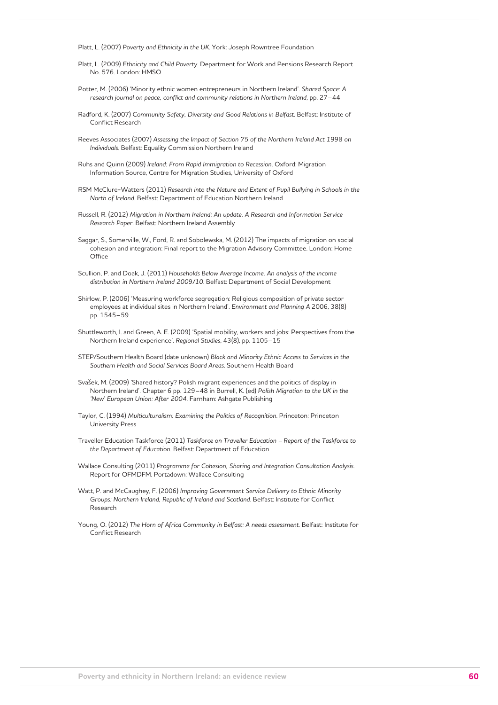Platt, L. (2007) *Poverty and Ethnicity in the UK*. York: Joseph Rowntree Foundation

- Platt, L. (2009) *Ethnicity and Child Poverty*. Department for Work and Pensions Research Report No. 576. London: HMSO
- Potter, M. (2006) 'Minority ethnic women entrepreneurs in Northern Ireland'. *Shared Space: A research journal on peace, conflict and community relations in Northern Ireland*, pp. 27–44
- Radford, K. (2007) C*ommunity Safety, Diversity and Good Relations in Belfast*. Belfast: Institute of Conflict Research
- Reeves Associates (2007) *Assessing the Impact of Section 75 of the Northern Ireland Act 1998 on Individuals*. Belfast: Equality Commission Northern Ireland
- Ruhs and Quinn (2009) *Ireland: From Rapid Immigration to Recession*. Oxford: Migration Information Source, Centre for Migration Studies, University of Oxford
- RSM McClure-Watters (2011) *Research into the Nature and Extent of Pupil Bullying in Schools in the North of Ireland*. Belfast: Department of Education Northern Ireland
- Russell, R. (2012) *Migration in Northern Ireland: An update. A Research and Information Service Research Paper*. Belfast: Northern Ireland Assembly
- Saggar, S., Somerville, W., Ford, R. and Sobolewska, M. (2012) The impacts of migration on social cohesion and integration: Final report to the Migration Advisory Committee. London: Home **Office**
- Scullion, P. and Doak, J. (2011) *Households Below Average Income. An analysis of the income distribution in Northern Ireland 2009/10*. Belfast: Department of Social Development
- Shirlow, P. (2006) 'Measuring workforce segregation: Religious composition of private sector employees at individual sites in Northern Ireland'. *Environment and Planning A* 2006, 38(8) pp. 1545–59
- Shuttleworth, I. and Green, A. E. (2009) 'Spatial mobility, workers and jobs: Perspectives from the Northern Ireland experience'. *Regional Studies*, 43(8), pp. 1105–15
- STEP/Southern Health Board (date unknown) *Black and Minority Ethnic Access to Services in the Southern Health and Social Services Board Areas*. Southern Health Board
- Svašek, M. (2009) 'Shared history? Polish migrant experiences and the politics of display in Northern Ireland'. Chapter 6 pp. 129–48 in Burrell, K. (ed) *Polish Migration to the UK in the 'New' European Union: After 2004*. Farnham: Ashgate Publishing
- Taylor, C. (1994) *Multiculturalism: Examining the Politics of Recognition*. Princeton: Princeton University Press
- Traveller Education Taskforce (2011) *Taskforce on Traveller Education Report of the Taskforce to the Department of Education*. Belfast: Department of Education
- Wallace Consulting (2011) *Programme for Cohesion, Sharing and Integration Consultation Analysis*. Report for OFMDFM. Portadown: Wallace Consulting
- Watt, P. and McCaughey, F. (2006) *Improving Government Service Delivery to Ethnic Minority Groups: Northern Ireland, Republic of Ireland and Scotland*. Belfast: Institute for Conflict Research
- Young, O. (2012) *The Horn of Africa Community in Belfast: A needs assessment*. Belfast: Institute for Conflict Research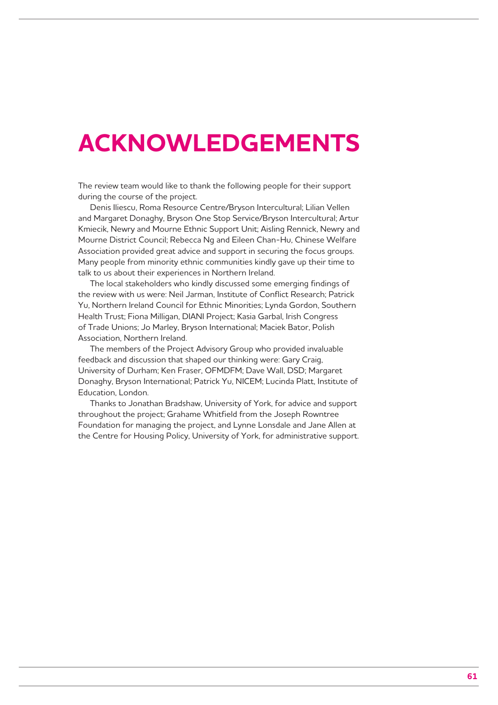## **ACKNOWLEDGEMENTS**

The review team would like to thank the following people for their support during the course of the project.

Denis Iliescu, Roma Resource Centre/Bryson Intercultural; Lilian Vellen and Margaret Donaghy, Bryson One Stop Service/Bryson Intercultural; Artur Kmiecik, Newry and Mourne Ethnic Support Unit; Aisling Rennick, Newry and Mourne District Council; Rebecca Ng and Eileen Chan-Hu, Chinese Welfare Association provided great advice and support in securing the focus groups. Many people from minority ethnic communities kindly gave up their time to talk to us about their experiences in Northern Ireland.

The local stakeholders who kindly discussed some emerging findings of the review with us were: Neil Jarman, Institute of Conflict Research; Patrick Yu, Northern Ireland Council for Ethnic Minorities; Lynda Gordon, Southern Health Trust; Fiona Milligan, DIANI Project; Kasia Garbal, Irish Congress of Trade Unions; Jo Marley, Bryson International; Maciek Bator, Polish Association, Northern Ireland.

The members of the Project Advisory Group who provided invaluable feedback and discussion that shaped our thinking were: Gary Craig, University of Durham; Ken Fraser, OFMDFM; Dave Wall, DSD; Margaret Donaghy, Bryson International; Patrick Yu, NICEM; Lucinda Platt, Institute of Education, London.

Thanks to Jonathan Bradshaw, University of York, for advice and support throughout the project; Grahame Whitfield from the Joseph Rowntree Foundation for managing the project, and Lynne Lonsdale and Jane Allen at the Centre for Housing Policy, University of York, for administrative support.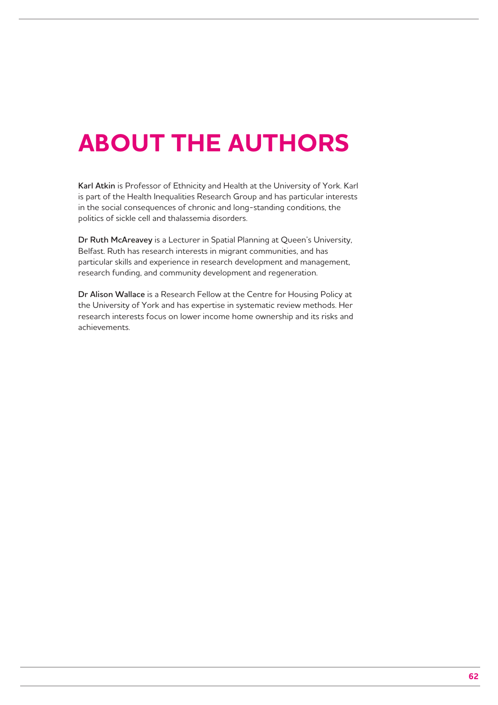## **ABOUT THE AUTHORS**

**Karl Atkin** is Professor of Ethnicity and Health at the University of York. Karl is part of the Health Inequalities Research Group and has particular interests in the social consequences of chronic and long-standing conditions, the politics of sickle cell and thalassemia disorders.

**Dr Ruth McAreavey** is a Lecturer in Spatial Planning at Queen's University, Belfast. Ruth has research interests in migrant communities, and has particular skills and experience in research development and management, research funding, and community development and regeneration.

**Dr Alison Wallace** is a Research Fellow at the Centre for Housing Policy at the University of York and has expertise in systematic review methods. Her research interests focus on lower income home ownership and its risks and achievements.